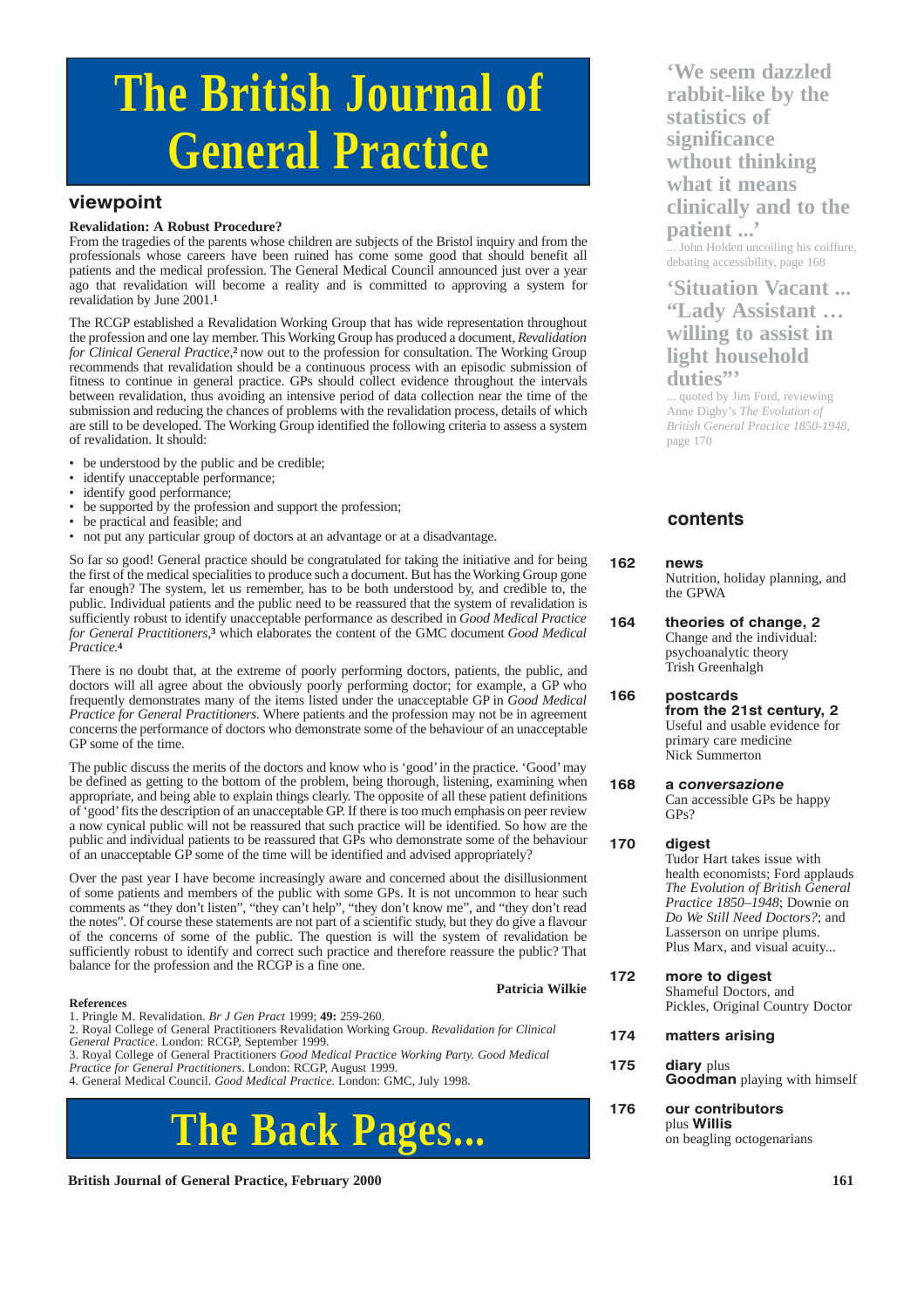# **The British Journal of General Practice**

# **viewpoint**

#### **Revalidation: A Robust Procedure?**

From the tragedies of the parents whose children are subjects of the Bristol inquiry and from the professionals whose careers have been ruined has come some good that should benefit all patients and the medical profession. The General Medical Council announced just over a year ago that revalidation will become a reality and is committed to approving a system for revalidation by June 2001.**<sup>1</sup>**

The RCGP established a Revalidation Working Group that has wide representation throughout the profession and one lay member. This Working Group has produced a document, *Revalidation for Clinical General Practice*,**2** now out to the profession for consultation. The Working Group recommends that revalidation should be a continuous process with an episodic submission of fitness to continue in general practice. GPs should collect evidence throughout the intervals between revalidation, thus avoiding an intensive period of data collection near the time of the submission and reducing the chances of problems with the revalidation process, details of which are still to be developed. The Working Group identified the following criteria to assess a system of revalidation. It should:

- be understood by the public and be credible;
- identify unacceptable performance;
- identify good performance;
- be supported by the profession and support the profession;
- be practical and feasible; and
- not put any particular group of doctors at an advantage or at a disadvantage.

So far so good! General practice should be congratulated for taking the initiative and for being the first of the medical specialities to produce such a document. But has the Working Group gone far enough? The system, let us remember, has to be both understood by, and credible to, the public. Individual patients and the public need to be reassured that the system of revalidation is sufficiently robust to identify unacceptable performance as described in *Good Medical Practice for General Practitioners*,**<sup>3</sup>** which elaborates the content of the GMC document *Good Medical Practice.***<sup>4</sup>**

There is no doubt that, at the extreme of poorly performing doctors, patients, the public, and doctors will all agree about the obviously poorly performing doctor; for example, a GP who frequently demonstrates many of the items listed under the unacceptable GP in *Good Medical Practice for General Practitioners*. Where patients and the profession may not be in agreement concerns the performance of doctors who demonstrate some of the behaviour of an unacceptable GP some of the time.

The public discuss the merits of the doctors and know who is 'good'in the practice. 'Good' may be defined as getting to the bottom of the problem, being thorough, listening, examining when appropriate, and being able to explain things clearly. The opposite of all these patient definitions of 'good'fits the description of an unacceptable GP. If there is too much emphasis on peer review a now cynical public will not be reassured that such practice will be identified. So how are the public and individual patients to be reassured that GPs who demonstrate some of the behaviour of an unacceptable GP some of the time will be identified and advised appropriately?

Over the past year I have become increasingly aware and concerned about the disillusionment of some patients and members of the public with some GPs. It is not uncommon to hear such comments as "they don't listen", "they can't help", "they don't know me", and "they don't read the notes". Of course these statements are not part of a scientific study, but they do give a flavour of the concerns of some of the public. The question is will the system of revalidation be sufficiently robust to identify and correct such practice and therefore reassure the public? That balance for the profession and the RCGP is a fine one.

#### **Patricia Wilkie**

#### **References**

1. Pringle M. Revalidation. *Br J Gen Pract* 1999; **49:** 259-260.

2. Royal College of General Practitioners Revalidation Working Group. *Revalidation for Clinical General Practice*. London: RCGP, September 1999.

3. Royal College of General Practitioners *Good Medical Practice Working Party. Good Medical Practice for General Practitioners*. London: RCGP, August 1999.

# **The Back Pages...**

**British Journal of General Practice, February 2000 161 161** 

**'We seem dazzled rabbit-like by the statistics of significance wthout thinking what it means clinically and to the patient ...'**

...<br>John Holden uncoiling his coiffure, debating accessibility, page 168

# **'Situation Vacant ... "Lady Assistant … willing to assist in light household duties"'**

... quoted by Jim Ford, reviewing Anne Digby's *The Evolution of British General Practice 1850-1948*, page 170

# **contents**

#### **162 news**

Nutrition, holiday planning, and the GPWA

**164 theories of change, 2** Change and the individual: psychoanalytic theory Trish Greenhalgh

**166 postcards from the 21st century, 2** Useful and usable evidence for primary care medicine Nick Summerton

**168 a** *conversazione* Can accessible GPs be happy GPs?

#### **170 digest**

Tudor Hart takes issue with health economists; Ford applauds *The Evolution of British General Practice 1850–1948*; Downie on *Do We Still Need Doctors?*; and Lasserson on unripe plums. Plus Marx, and visual acuity...

**172 more to digest** Shameful Doctors, and Pickles, Original Country Doctor

- **174 matters arising**
- 175 diary plus **Goodman** playing with himself
- **176 our contributors** plus **Willis**  on beagling octogenarians

<sup>4.</sup> General Medical Council. *Good Medical Practice*. London: GMC, July 1998.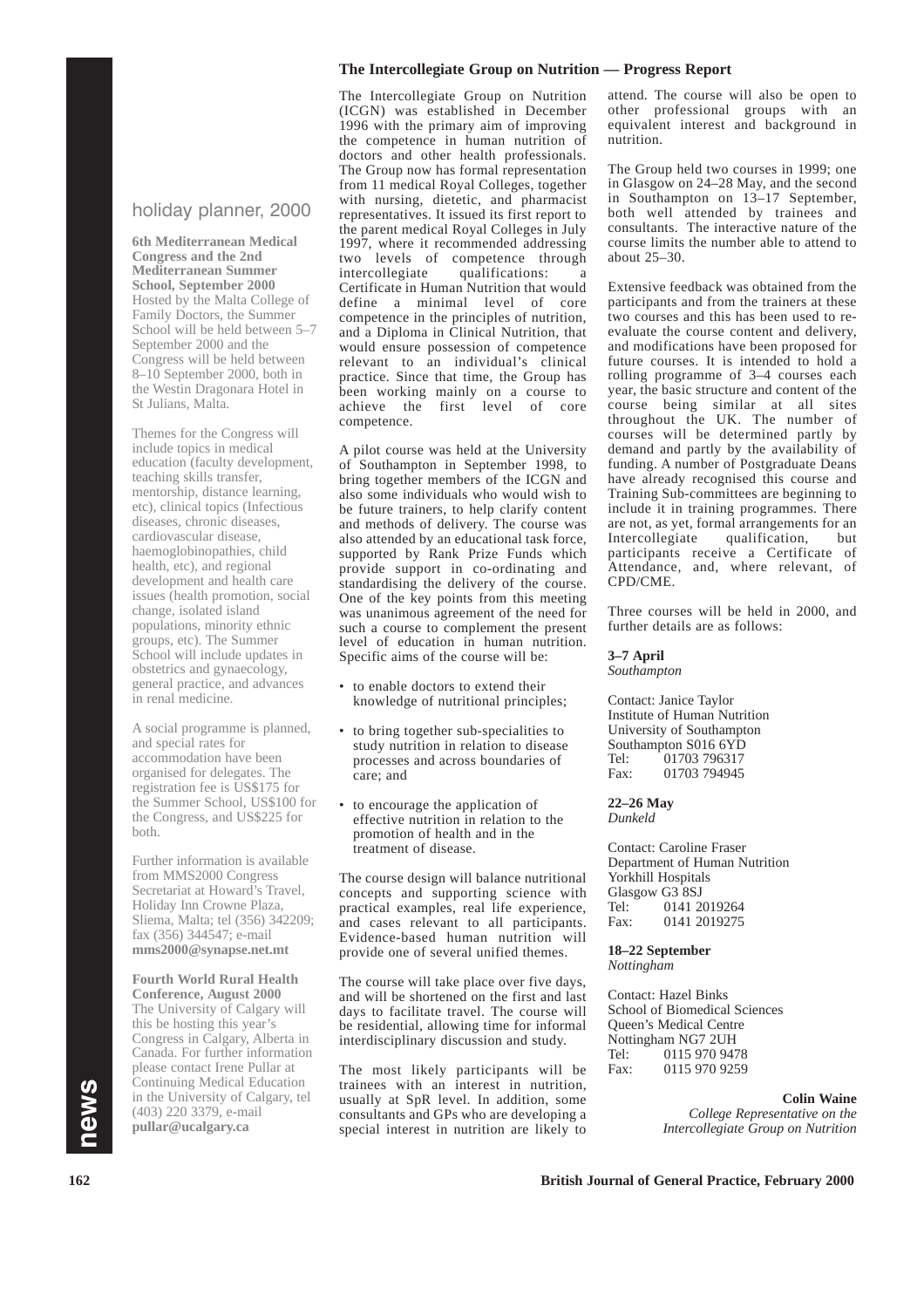# holiday planner, 2000

**6th Mediterranean Medical Congress and the 2nd Mediterranean Summer School, September 2000** Hosted by the Malta College of Family Doctors, the Summer School will be held between 5–7 September 2000 and the Congress will be held between 8–10 September 2000, both in the Westin Dragonara Hotel in St Julians, Malta.

Themes for the Congress will include topics in medical education (faculty development, teaching skills transfer, mentorship, distance learning, etc), clinical topics (Infectious diseases, chronic diseases, cardiovascular disease, haemoglobinopathies, child health, etc), and regional development and health care issues (health promotion, social change, isolated island populations, minority ethnic groups, etc). The Summer School will include updates in obstetrics and gynaecology, general practice, and advances in renal medicine.

A social programme is planned, and special rates for accommodation have been organised for delegates. The registration fee is US\$175 for the Summer School, US\$100 for the Congress, and US\$225 for both.

Further information is available from MMS2000 Congress Secretariat at Howard's Travel. Holiday Inn Crowne Plaza, Sliema, Malta; tel (356) 342209; fax (356) 344547; e-mail **mms2000@synapse.net.mt**

**Fourth World Rural Health Conference, August 2000** The University of Calgary will this be hosting this year's Congress in Calgary, Alberta in Canada. For further information please contact Irene Pullar at Continuing Medical Education in the University of Calgary, tel (403) 220 3379, e-mail **pullar@ucalgary.ca**

#### **The Intercollegiate Group on Nutrition — Progress Report**

The Intercollegiate Group on Nutrition (ICGN) was established in December 1996 with the primary aim of improving the competence in human nutrition of doctors and other health professionals. The Group now has formal representation from 11 medical Royal Colleges, together with nursing, dietetic, and pharmacist representatives. It issued its first report to the parent medical Royal Colleges in July 1997, where it recommended addressing two levels of competence through intercollegiate qualifications: Certificate in Human Nutrition that would define a minimal level of core competence in the principles of nutrition, and a Diploma in Clinical Nutrition, that would ensure possession of competence relevant to an individual's clinical practice. Since that time, the Group has been working mainly on a course to achieve the first level of core competence.

A pilot course was held at the University of Southampton in September 1998, to bring together members of the ICGN and also some individuals who would wish to be future trainers, to help clarify content and methods of delivery. The course was also attended by an educational task force, supported by Rank Prize Funds which provide support in co-ordinating and standardising the delivery of the course. One of the key points from this meeting was unanimous agreement of the need for such a course to complement the present level of education in human nutrition. Specific aims of the course will be:

- to enable doctors to extend their knowledge of nutritional principles;
- to bring together sub-specialities to study nutrition in relation to disease processes and across boundaries of care; and
- to encourage the application of effective nutrition in relation to the promotion of health and in the treatment of disease.

The course design will balance nutritional concepts and supporting science with practical examples, real life experience, and cases relevant to all participants. Evidence-based human nutrition will provide one of several unified themes.

The course will take place over five days, and will be shortened on the first and last days to facilitate travel. The course will be residential, allowing time for informal interdisciplinary discussion and study.

The most likely participants will be trainees with an interest in nutrition, usually at SpR level. In addition, some consultants and GPs who are developing a special interest in nutrition are likely to

attend. The course will also be open to other professional groups with an equivalent interest and background in nutrition.

The Group held two courses in 1999; one in Glasgow on 24–28 May, and the second in Southampton on 13–17 September, both well attended by trainees and consultants. The interactive nature of the course limits the number able to attend to about 25–30.

Extensive feedback was obtained from the participants and from the trainers at these two courses and this has been used to reevaluate the course content and delivery, and modifications have been proposed for future courses. It is intended to hold a rolling programme of 3–4 courses each year, the basic structure and content of the course being similar at all sites throughout the UK. The number of courses will be determined partly by demand and partly by the availability of funding. A number of Postgraduate Deans have already recognised this course and Training Sub-committees are beginning to include it in training programmes. There are not, as yet, formal arrangements for an Intercollegiate qualification, but participants receive a Certificate of Attendance, and, where relevant, of CPD/CME.

Three courses will be held in 2000, and further details are as follows:

#### **3–7 April**

*Southampton*

Contact: Janice Taylor Institute of Human Nutrition University of Southampton Southampton S016 6YD<br>Tel: 01703 796317 Tel: 01703 796317<br>Fax: 01703 794945 Fax: 01703 794945

**22–26 May** *Dunkeld*

Contact: Caroline Fraser Department of Human Nutrition Yorkhill Hospitals Glasgow G3 8SJ<br>Tel: 0141 20 0141 2019264 Fax: 0141 2019275

**18–22 September** *Nottingham*

Contact: Hazel Binks School of Biomedical Sciences Queen's Medical Centre Nottingham NG7 2UH<br>Tel: 0115 970 947 0115 970 9478 Fax: 0115 970 9259

> **Colin Waine** *College Representative on the Intercollegiate Group on Nutrition*

**162 British Journal of General Practice, February 2000**

**n**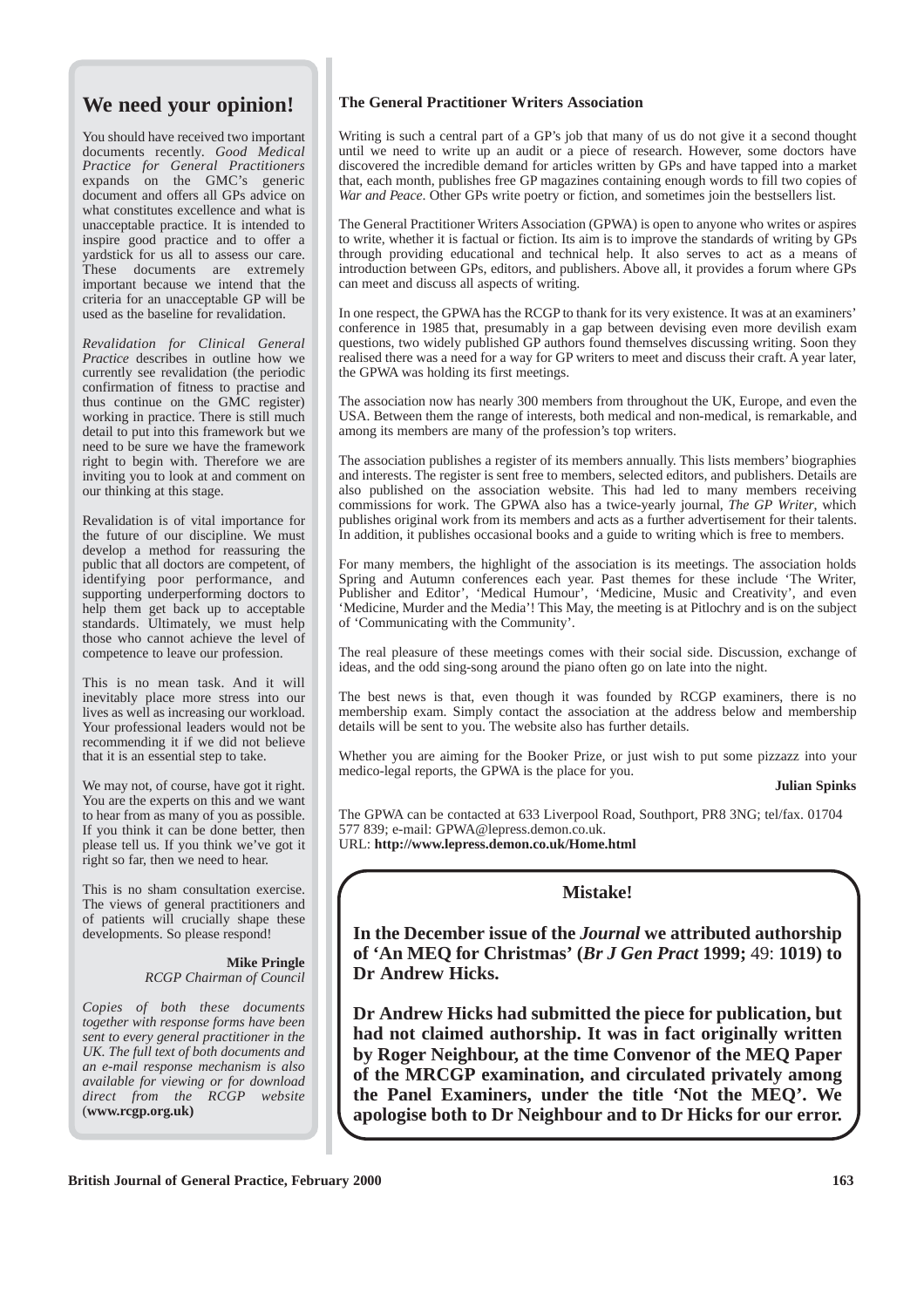# **We need your opinion!**

You should have received two important documents recently. *Good Medical Practice for General Practitioners* expands on the GMC's generic document and offers all GPs advice on what constitutes excellence and what is unacceptable practice. It is intended to inspire good practice and to offer a yardstick for us all to assess our care. These documents are extremely important because we intend that the criteria for an unacceptable GP will be used as the baseline for revalidation.

*Revalidation for Clinical General Practice* describes in outline how we currently see revalidation (the periodic confirmation of fitness to practise and thus continue on the GMC register) working in practice. There is still much detail to put into this framework but we need to be sure we have the framework right to begin with. Therefore we are inviting you to look at and comment on our thinking at this stage.

Revalidation is of vital importance for the future of our discipline. We must develop a method for reassuring the public that all doctors are competent, of identifying poor performance, and supporting underperforming doctors to help them get back up to acceptable standards. Ultimately, we must help those who cannot achieve the level of competence to leave our profession.

This is no mean task. And it will inevitably place more stress into our lives as well as increasing our workload. Your professional leaders would not be recommending it if we did not believe that it is an essential step to take.

We may not, of course, have got it right. You are the experts on this and we want to hear from as many of you as possible. If you think it can be done better, then please tell us. If you think we've got it right so far, then we need to hear.

This is no sham consultation exercise. The views of general practitioners and of patients will crucially shape these developments. So please respond!

#### **Mike Pringle** *RCGP Chairman of Council*

*Copies of both these documents together with response forms have been sent to every general practitioner in the UK. The full text of both documents and an e-mail response mechanism is also available for viewing or for download direct from the RCGP website* (**www.rcgp.org.uk)**

## **The General Practitioner Writers Association**

Writing is such a central part of a GP's job that many of us do not give it a second thought until we need to write up an audit or a piece of research. However, some doctors have discovered the incredible demand for articles written by GPs and have tapped into a market that, each month, publishes free GP magazines containing enough words to fill two copies of *War and Peace*. Other GPs write poetry or fiction, and sometimes join the bestsellers list.

The General Practitioner Writers Association (GPWA) is open to anyone who writes or aspires to write, whether it is factual or fiction. Its aim is to improve the standards of writing by GPs through providing educational and technical help. It also serves to act as a means of introduction between GPs, editors, and publishers. Above all, it provides a forum where GPs can meet and discuss all aspects of writing.

In one respect, the GPWA has the RCGP to thank for its very existence. It was at an examiners' conference in 1985 that, presumably in a gap between devising even more devilish exam questions, two widely published GP authors found themselves discussing writing. Soon they realised there was a need for a way for GP writers to meet and discuss their craft. A year later, the GPWA was holding its first meetings.

The association now has nearly 300 members from throughout the UK, Europe, and even the USA. Between them the range of interests, both medical and non-medical, is remarkable, and among its members are many of the profession's top writers.

The association publishes a register of its members annually. This lists members' biographies and interests. The register is sent free to members, selected editors, and publishers. Details are also published on the association website. This had led to many members receiving commissions for work. The GPWA also has a twice-yearly journal, *The GP Writer*, which publishes original work from its members and acts as a further advertisement for their talents. In addition, it publishes occasional books and a guide to writing which is free to members.

For many members, the highlight of the association is its meetings. The association holds Spring and Autumn conferences each year. Past themes for these include 'The Writer, Publisher and Editor', 'Medical Humour', 'Medicine, Music and Creativity', and even 'Medicine, Murder and the Media'! This May, the meeting is at Pitlochry and is on the subject of 'Communicating with the Community'.

The real pleasure of these meetings comes with their social side. Discussion, exchange of ideas, and the odd sing-song around the piano often go on late into the night.

The best news is that, even though it was founded by RCGP examiners, there is no membership exam. Simply contact the association at the address below and membership details will be sent to you. The website also has further details.

Whether you are aiming for the Booker Prize, or just wish to put some pizzazz into your medico-legal reports, the GPWA is the place for you.

**Julian Spinks**

The GPWA can be contacted at 633 Liverpool Road, Southport, PR8 3NG; tel/fax. 01704 577 839; e-mail: GPWA@lepress.demon.co.uk. URL: **http://www.lepress.demon.co.uk/Home.html** 

# **Mistake!**

**In the December issue of the** *Journal* **we attributed authorship of 'An MEQ for Christmas' (***Br J Gen Pract* **1999;** 49: **1019) to Dr Andrew Hicks.**

**Dr Andrew Hicks had submitted the piece for publication, but had not claimed authorship. It was in fact originally written by Roger Neighbour, at the time Convenor of the MEQ Paper of the MRCGP examination, and circulated privately among the Panel Examiners, under the title 'Not the MEQ'. We apologise both to Dr Neighbour and to Dr Hicks for our error.**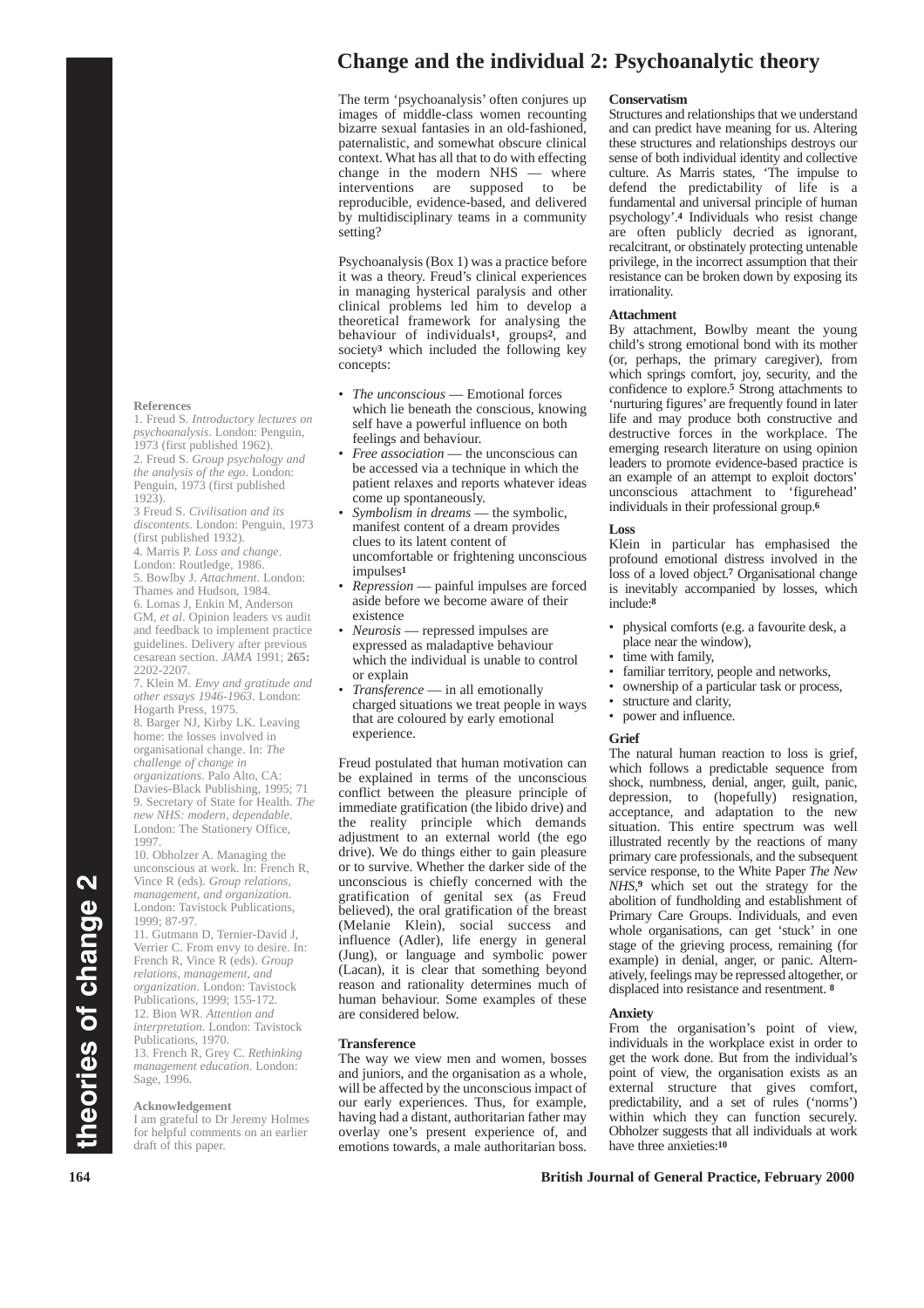# **Change and the individual 2: Psychoanalytic theory**

The term 'psychoanalysis' often conjures up images of middle-class women recounting bizarre sexual fantasies in an old-fashioned, paternalistic, and somewhat obscure clinical context. What has all that to do with effecting change in the modern NHS — where interventions are supposed to be reproducible, evidence-based, and delivered by multidisciplinary teams in a community setting?

Psychoanalysis (Box 1) was a practice before it was a theory. Freud's clinical experiences in managing hysterical paralysis and other clinical problems led him to develop a theoretical framework for analysing the behaviour of individuals**1**, groups**2**, and society**<sup>3</sup>** which included the following key concepts:

- *The unconscious* Emotional forces which lie beneath the conscious, knowing self have a powerful influence on both feelings and behaviour.
- *Free association* the unconscious can be accessed via a technique in which the patient relaxes and reports whatever ideas come up spontaneously.
- *Symbolism in dreams* the symbolic, manifest content of a dream provides clues to its latent content of uncomfortable or frightening unconscious impulses**<sup>1</sup>**
- *Repression* painful impulses are forced aside before we become aware of their existence
- *Neurosis* repressed impulses are expressed as maladaptive behaviour which the individual is unable to control or explain
- *Transference* in all emotionally charged situations we treat people in ways that are coloured by early emotional experience.

Freud postulated that human motivation can be explained in terms of the unconscious conflict between the pleasure principle of immediate gratification (the libido drive) and the reality principle which demands adjustment to an external world (the ego drive). We do things either to gain pleasure or to survive. Whether the darker side of the unconscious is chiefly concerned with the gratification of genital sex (as Freud believed), the oral gratification of the breast (Melanie Klein), social success and influence (Adler), life energy in general (Jung), or language and symbolic power (Lacan), it is clear that something beyond reason and rationality determines much of human behaviour. Some examples of these are considered below.

#### **Transference**

The way we view men and women, bosses and juniors, and the organisation as a whole, will be affected by the unconscious impact of our early experiences. Thus, for example, having had a distant, authoritarian father may overlay one's present experience of, and emotions towards, a male authoritarian boss.

#### **Conservatism**

Structures and relationships that we understand and can predict have meaning for us. Altering these structures and relationships destroys our sense of both individual identity and collective culture. As Marris states, 'The impulse to defend the predictability of life is a fundamental and universal principle of human psychology'.**<sup>4</sup>** Individuals who resist change are often publicly decried as ignorant, recalcitrant, or obstinately protecting untenable privilege, in the incorrect assumption that their resistance can be broken down by exposing its irrationality.

#### **Attachment**

By attachment, Bowlby meant the young child's strong emotional bond with its mother (or, perhaps, the primary caregiver), from which springs comfort, joy, security, and the confidence to explore.**<sup>5</sup>** Strong attachments to 'nurturing figures' are frequently found in later life and may produce both constructive and destructive forces in the workplace. The emerging research literature on using opinion leaders to promote evidence-based practice is an example of an attempt to exploit doctors' unconscious attachment to 'figurehead' individuals in their professional group.**<sup>6</sup>**

#### **Loss**

Klein in particular has emphasised the profound emotional distress involved in the loss of a loved object.**<sup>7</sup>** Organisational change is inevitably accompanied by losses, which include:**<sup>8</sup>**

- physical comforts (e.g. a favourite desk, a place near the window),
- time with family,
- familiar territory, people and networks,
- ownership of a particular task or process,
- structure and clarity,
- power and influence.

#### **Grief**

The natural human reaction to loss is grief, which follows a predictable sequence from shock, numbness, denial, anger, guilt, panic, depression, to (hopefully) resignation, acceptance, and adaptation to the new situation. This entire spectrum was well illustrated recently by the reactions of many primary care professionals, and the subsequent service response, to the White Paper *The New NHS*,**<sup>9</sup>** which set out the strategy for the abolition of fundholding and establishment of Primary Care Groups. Individuals, and even whole organisations, can get 'stuck' in one stage of the grieving process, remaining (for example) in denial, anger, or panic. Alternatively, feelings may be repressed altogether, or displaced into resistance and resentment. **<sup>8</sup>**

#### **Anxiety**

From the organisation's point of view, individuals in the workplace exist in order to get the work done. But from the individual's point of view, the organisation exists as an external structure that gives comfort, predictability, and a set of rules ('norms') within which they can function securely. Obholzer suggests that all individuals at work have three anxieties:**<sup>10</sup>**

#### **164 British Journal of General Practice, February 2000**

#### **References**

1. Freud S. *Introductory lectures on psychoanalysis*. London: Penguin, 1973 (first published 1962). 2. Freud S. *Group psychology and the analysis of the ego*. London: Penguin, 1973 (first published 1923).

3 Freud S. *Civilisation and its discontents*. London: Penguin, 1973 (first published 1932).

4. Marris P. *Loss and change*.

London: Routledge, 1986. 5. Bowlby J. *Attachment*. London:

Thames and Hudson, 1984. 6. Lomas J, Enkin M, Anderson

GM, *et al*. Opinion leaders vs audit and feedback to implement practice guidelines. Delivery after previous cesarean section. *JAMA* 1991; 265: 2202-2207.

7. Klein M. *Envy and gratitude and other essays 1946-1963*. London: Hogarth Press, 1975. 8. Barger NJ, Kirby LK. Leaving home: the losses involved in organisational change. In: *The challenge of change in organizations*. Palo Alto, CA: Davies-Black Publishing, 1995; 71 9. Secretary of State for Health. *The new NHS: modern, dependable*. London: The Stationery Office, 1997.

10. Obholzer A. Managing the unconscious at work. In: French R, Vince R (eds). *Group relations, management, and organization*. London: Tavistock Publications, 1999; 87-97.

11. Gutmann D, Ternier-David J, Verrier C. From envy to desire. In: French R, Vince R (eds). *Group relations, management, and organization*. London: Tavistock Publications, 1999; 155-172. 12. Bion WR. *Attention and interpretation*. London: Tavistock Publications, 1970. 13. French R, Grey C. *Rethinking management education*. London: Sage, 1996.

#### **Acknowledgement**

I am grateful to Dr Jeremy Holmes for helpful comments on an earlier draft of this paper.

**theories of change 2**

theories of change 2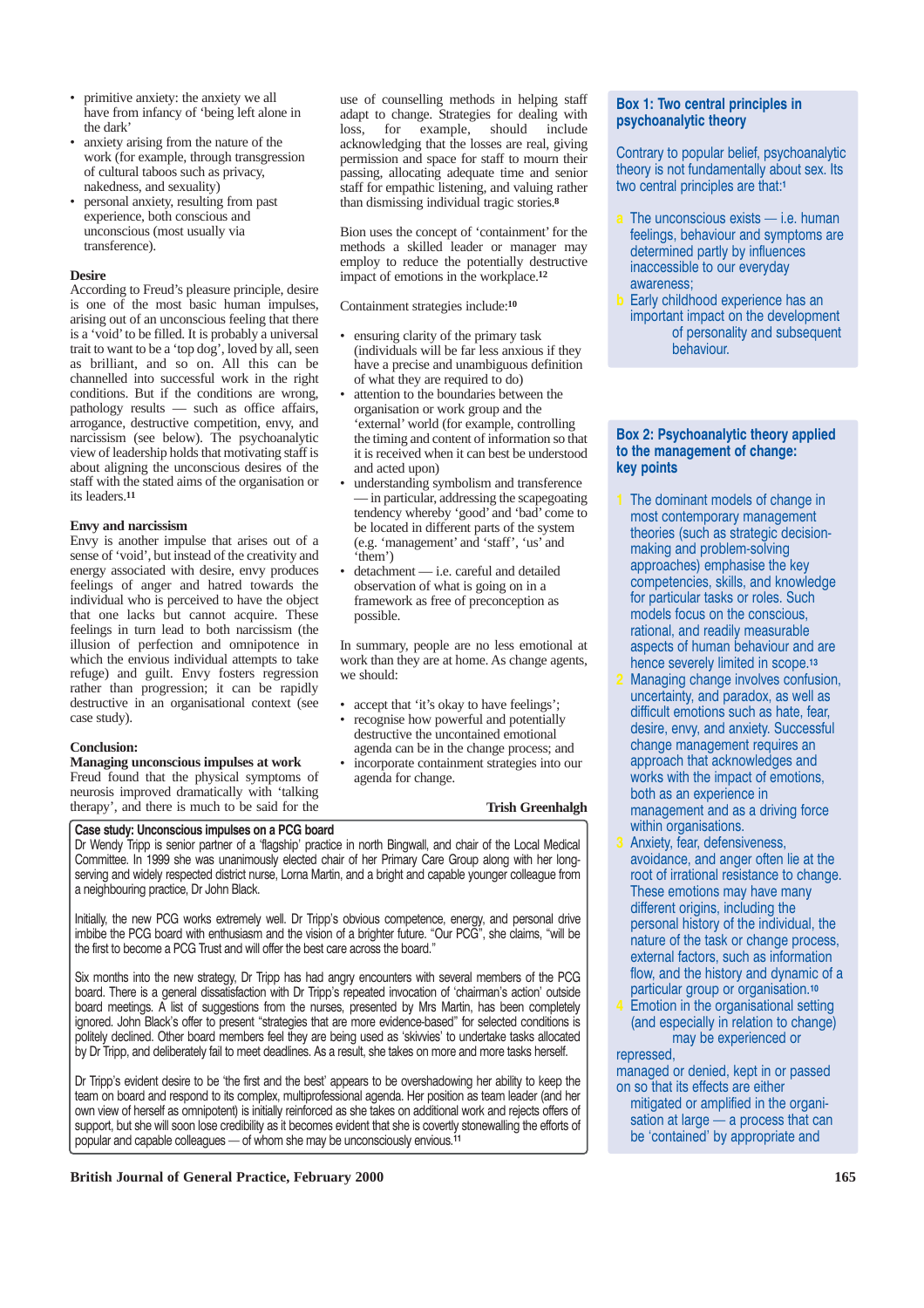- primitive anxiety: the anxiety we all have from infancy of 'being left alone in the dark'
- anxiety arising from the nature of the work (for example, through transgression of cultural taboos such as privacy, nakedness, and sexuality)
- personal anxiety, resulting from past experience, both conscious and unconscious (most usually via transference).

#### **Desire**

According to Freud's pleasure principle, desire is one of the most basic human impulses, arising out of an unconscious feeling that there is a 'void'to be filled. It is probably a universal trait to want to be a 'top dog', loved by all, seen as brilliant, and so on. All this can be channelled into successful work in the right conditions. But if the conditions are wrong, pathology results — such as office affairs, arrogance, destructive competition, envy, and narcissism (see below). The psychoanalytic view of leadership holds that motivating staff is about aligning the unconscious desires of the staff with the stated aims of the organisation or its leaders.**<sup>11</sup>**

#### **Envy and narcissism**

Envy is another impulse that arises out of a sense of 'void', but instead of the creativity and energy associated with desire, envy produces feelings of anger and hatred towards the individual who is perceived to have the object that one lacks but cannot acquire. These feelings in turn lead to both narcissism (the illusion of perfection and omnipotence in which the envious individual attempts to take refuge) and guilt. Envy fosters regression rather than progression; it can be rapidly destructive in an organisational context (see case study).

#### **Conclusion:**

#### **Managing unconscious impulses at work**

Freud found that the physical symptoms of neurosis improved dramatically with 'talking therapy', and there is much to be said for the

#### **Case study: Unconscious impulses on a PCG board**

Dr Wendy Tripp is senior partner of a 'flagship' practice in north Bingwall, and chair of the Local Medical Committee. In 1999 she was unanimously elected chair of her Primary Care Group along with her longserving and widely respected district nurse, Lorna Martin, and a bright and capable younger colleague from a neighbouring practice, Dr John Black.

Initially, the new PCG works extremely well. Dr Tripp's obvious competence, energy, and personal drive imbibe the PCG board with enthusiasm and the vision of a brighter future. "Our PCG", she claims, "will be the first to become a PCG Trust and will offer the best care across the board."

Six months into the new strategy, Dr Tripp has had angry encounters with several members of the PCG board. There is a general dissatisfaction with Dr Tripp's repeated invocation of 'chairman's action' outside board meetings. A list of suggestions from the nurses, presented by Mrs Martin, has been completely ignored. John Black's offer to present "strategies that are more evidence-based" for selected conditions is politely declined. Other board members feel they are being used as 'skivvies' to undertake tasks allocated by Dr Tripp, and deliberately fail to meet deadlines. As a result, she takes on more and more tasks herself.

Dr Tripp's evident desire to be 'the first and the best' appears to be overshadowing her ability to keep the team on board and respond to its complex, multiprofessional agenda. Her position as team leader (and her own view of herself as omnipotent) is initially reinforced as she takes on additional work and rejects offers of support, but she will soon lose credibility as it becomes evident that she is covertly stonewalling the efforts of popular and capable colleagues — of whom she may be unconsciously envious.**<sup>11</sup>**

#### **British Journal of General Practice, February 2000 165** 165

use of counselling methods in helping staff adapt to change. Strategies for dealing with loss, for example, should include acknowledging that the losses are real, giving permission and space for staff to mourn their passing, allocating adequate time and senior staff for empathic listening, and valuing rather than dismissing individual tragic stories.**<sup>8</sup>**

Bion uses the concept of 'containment' for the methods a skilled leader or manager may employ to reduce the potentially destructive impact of emotions in the workplace.**<sup>12</sup>**

Containment strategies include:**<sup>10</sup>**

- ensuring clarity of the primary task (individuals will be far less anxious if they have a precise and unambiguous definition of what they are required to do)
- attention to the boundaries between the organisation or work group and the 'external' world (for example, controlling the timing and content of information so that it is received when it can best be understood and acted upon)
- understanding symbolism and transference — in particular, addressing the scapegoating tendency whereby 'good' and 'bad' come to be located in different parts of the system (e.g. 'management' and 'staff', 'us' and 'them')
- detachment i.e. careful and detailed observation of what is going on in a framework as free of preconception as possible.

In summary, people are no less emotional at work than they are at home. As change agents, we should:

- accept that 'it's okay to have feelings';
- recognise how powerful and potentially destructive the uncontained emotional agenda can be in the change process; and
- incorporate containment strategies into our agenda for change.

#### **Trish Greenhalgh**

## **Box 1: Two central principles in psychoanalytic theory**

Contrary to popular belief, psychoanalytic theory is not fundamentally about sex. Its two central principles are that:**<sup>1</sup>**

- **a** The unconscious exists i.e. human feelings, behaviour and symptoms are determined partly by influences inaccessible to our everyday awareness;
- Early childhood experience has an important impact on the development of personality and subsequent behaviour.

#### **Box 2: Psychoanalytic theory applied to the management of change: key points**

- **1** The dominant models of change in most contemporary management theories (such as strategic decisionmaking and problem-solving approaches) emphasise the key competencies, skills, and knowledge for particular tasks or roles. Such models focus on the conscious, rational, and readily measurable aspects of human behaviour and are hence severely limited in scope.**<sup>13</sup>**
- **2** Managing change involves confusion, uncertainty, and paradox, as well as difficult emotions such as hate, fear, desire, envy, and anxiety. Successful change management requires an approach that acknowledges and works with the impact of emotions, both as an experience in management and as a driving force within organisations.
- **3** Anxiety, fear, defensiveness, avoidance, and anger often lie at the root of irrational resistance to change. These emotions may have many different origins, including the personal history of the individual, the nature of the task or change process, external factors, such as information flow, and the history and dynamic of a particular group or organisation.**<sup>10</sup> 4** Emotion in the organisational setting
- (and especially in relation to change) may be experienced or

repressed, managed or denied, kept in or passed on so that its effects are either mitigated or amplified in the organisation at large — a process that can be 'contained' by appropriate and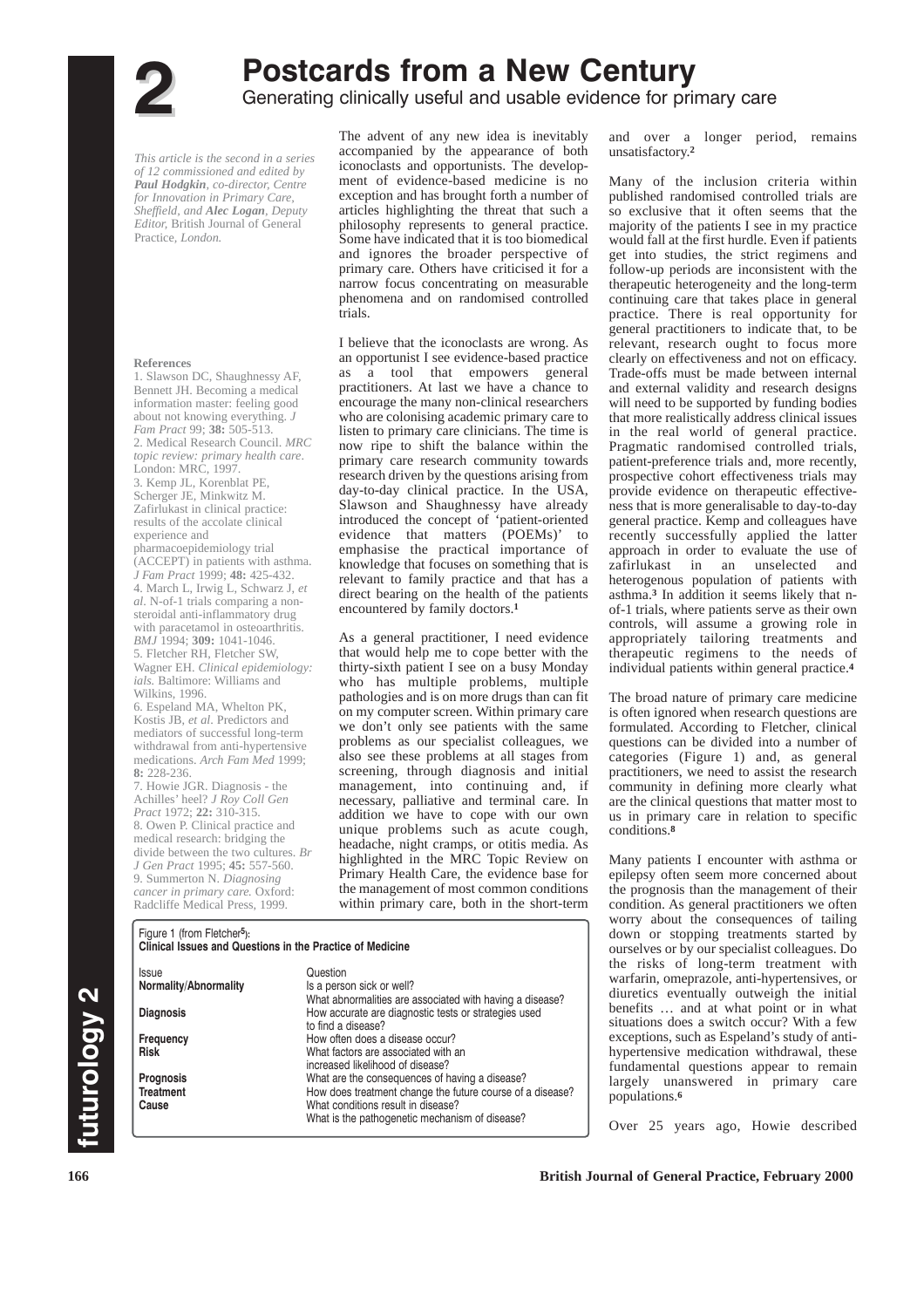

# **Postcards from a New Century**<br>Generating clinically useful and usable evidence for primary care

*This article is the second in a series of 12 commissioned and edited by Paul Hodgkin, co-director, Centre for Innovation in Primary Care, Sheffield, and Alec Logan, Deputy Editor,* British Journal of General Practice*, London.*

#### **References**

1. Slawson DC, Shaughnessy AF, Bennett JH. Becoming a medical information master: feeling good about not knowing everything. *J Fam Pract* 99; **38:** 505-513. 2. Medical Research Council. *MRC topic review: primary health care*. London: MRC, 1997.

3. Kemp JL, Korenblat PE, Scherger JE, Minkwitz M. Zafirlukast in clinical practice: results of the accolate clinical experience and

pharmacoepidemiology trial (ACCEPT) in patients with asthma. *J Fam Pract* 1999; **48:** 425-432. 4. March L, Irwig L, Schwarz J, *et al*. N-of-1 trials comparing a nonsteroidal anti-inflammatory drug

with paracetamol in osteoarthritis. *BMJ* 1994; **309:** 1041-1046. 5. Fletcher RH, Fletcher SW, Wagner EH. *Clinical epidemiology:*

*ials.* Baltimore: Williams and Wilkins, 1996.

6. Espeland MA, Whelton PK, Kostis JB, *et al*. Predictors and mediators of successful long-term withdrawal from anti-hypertensive medications. *Arch Fam Med* 1999; **8:** 228-236.

7. Howie JGR. Diagnosis - the Achilles' heel? *J Roy Coll Gen Pract* 1972; **22:** 310-315.

8. Owen P. Clinical practice and medical research: bridging the divide between the two cultures. *Br J Gen Pract* 1995; **45:** 557-560. 9. Summerton N. *Diagnosing cancer in primary care.* Oxford: Radcliffe Medical Press, 1999.

**Clinical Issues and Questions in the Practice of Medicine**

Figure 1 (from Fletcher**5):**

The advent of any new idea is inevitably accompanied by the appearance of both iconoclasts and opportunists. The development of evidence-based medicine is no exception and has brought forth a number of articles highlighting the threat that such a philosophy represents to general practice. Some have indicated that it is too biomedical and ignores the broader perspective of primary care. Others have criticised it for a narrow focus concentrating on measurable phenomena and on randomised controlled trials.

I believe that the iconoclasts are wrong. As an opportunist I see evidence-based practice as a tool that empowers general practitioners. At last we have a chance to encourage the many non-clinical researchers who are colonising academic primary care to listen to primary care clinicians. The time is now ripe to shift the balance within the primary care research community towards research driven by the questions arising from day-to-day clinical practice. In the USA, Slawson and Shaughnessy have already introduced the concept of 'patient-oriented evidence that matters (POEMs)' to emphasise the practical importance of knowledge that focuses on something that is relevant to family practice and that has a direct bearing on the health of the patients encountered by family doctors.**<sup>1</sup>**

As a general practitioner, I need evidence that would help me to cope better with the thirty-sixth patient I see on a busy Monday who has multiple problems, multiple pathologies and is on more drugs than can fit on my computer screen. Within primary care we don't only see patients with the same problems as our specialist colleagues, we also see these problems at all stages from screening, through diagnosis and initial management, into continuing and, if necessary, palliative and terminal care. In addition we have to cope with our own unique problems such as acute cough. headache, night cramps, or otitis media. As highlighted in the MRC Topic Review on Primary Health Care, the evidence base for the management of most common conditions within primary care, both in the short-term and over a longer period, remains unsatisfactory.**<sup>2</sup>**

Many of the inclusion criteria within published randomised controlled trials are so exclusive that it often seems that the majority of the patients I see in my practice would fall at the first hurdle. Even if patients get into studies, the strict regimens and follow-up periods are inconsistent with the therapeutic heterogeneity and the long-term continuing care that takes place in general practice. There is real opportunity for general practitioners to indicate that, to be relevant, research ought to focus more clearly on effectiveness and not on efficacy. Trade-offs must be made between internal and external validity and research designs will need to be supported by funding bodies that more realistically address clinical issues in the real world of general practice. Pragmatic randomised controlled trials, patient-preference trials and, more recently, prospective cohort effectiveness trials may provide evidence on therapeutic effectiveness that is more generalisable to day-to-day general practice. Kemp and colleagues have recently successfully applied the latter approach in order to evaluate the use of zafirlukast in an unselected and heterogenous population of patients with asthma.**<sup>3</sup>** In addition it seems likely that nof-1 trials, where patients serve as their own controls, will assume a growing role in appropriately tailoring treatments and therapeutic regimens to the needs of individual patients within general practice.**<sup>4</sup>**

The broad nature of primary care medicine is often ignored when research questions are formulated. According to Fletcher, clinical questions can be divided into a number of categories (Figure 1) and, as general practitioners, we need to assist the research community in defining more clearly what are the clinical questions that matter most to us in primary care in relation to specific conditions.**<sup>8</sup>**

Many patients I encounter with asthma or epilepsy often seem more concerned about the prognosis than the management of their condition. As general practitioners we often worry about the consequences of tailing down or stopping treatments started by ourselves or by our specialist colleagues. Do the risks of long-term treatment with warfarin, omeprazole, anti-hypertensives, or diuretics eventually outweigh the initial benefits … and at what point or in what situations does a switch occur? With a few exceptions, such as Espeland's study of antihypertensive medication withdrawal, these fundamental questions appear to remain largely unanswered in primary care populations.**<sup>6</sup>**

Over 25 years ago, Howie described

#### Issue Question<br>**Normality/Abnormality** Is a person Is a person sick or well? What abnormalities are associated with having a disease? **Diagnosis** How accurate are diagnostic tests or strategies used to find a disease? **Frequency How often does a disease occur?**<br> **Risk What factors are associated with a Risk** What factors are associated with an increased likelihood of disease?

**Prognosis** What are the consequences of having a disease? **Treatment How does treatment change the future course of a disease?**<br>Cause **Cause What conditions result in disease?** What conditions result in disease? What is the pathogenetic mechanism of disease?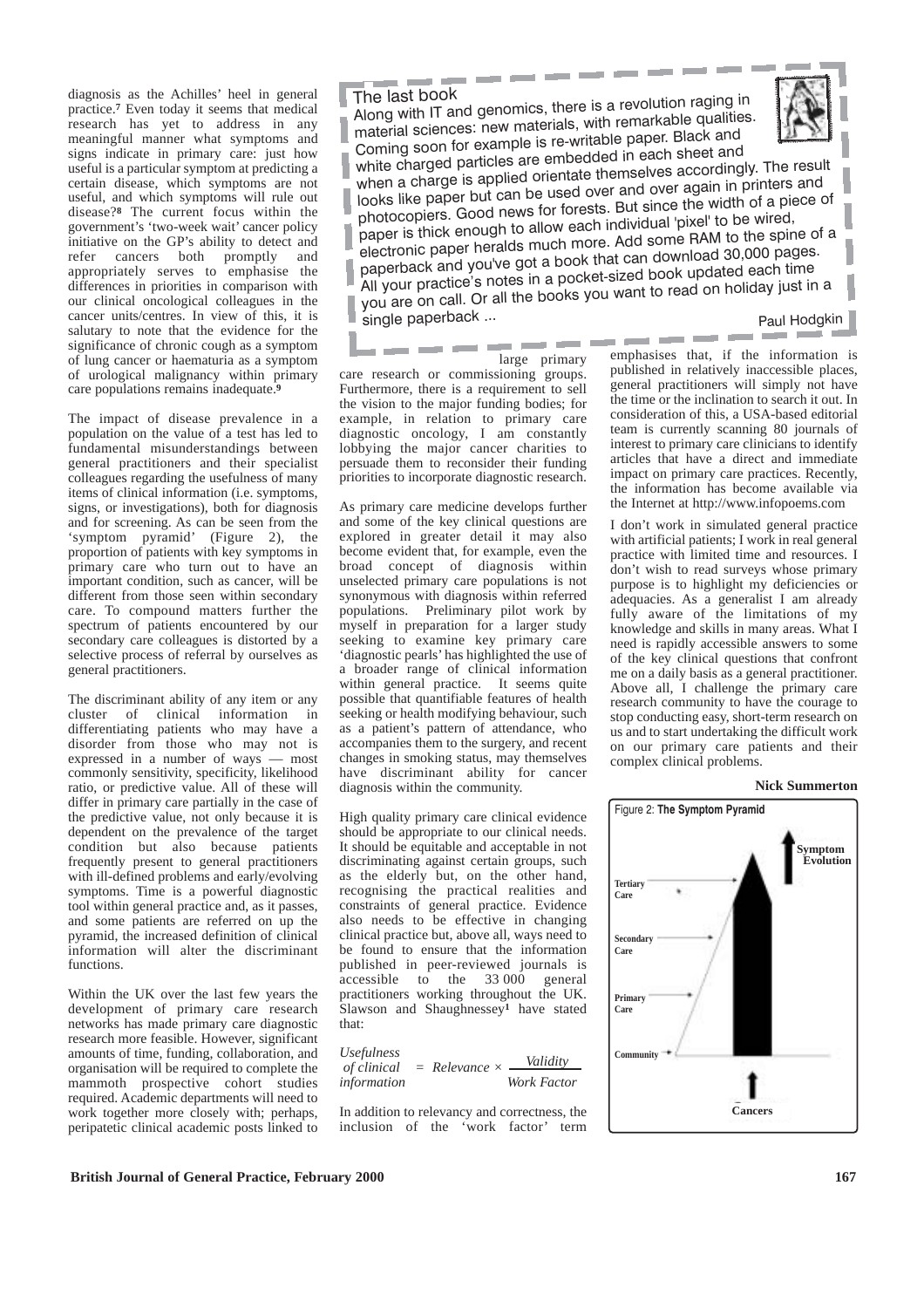diagnosis as the Achilles' heel in general practice.**<sup>7</sup>** Even today it seems that medical research has yet to address in any meaningful manner what symptoms and signs indicate in primary care: just how useful is a particular symptom at predicting a certain disease, which symptoms are not useful, and which symptoms will rule out disease?**<sup>8</sup>** The current focus within the government's 'two-week wait' cancer policy initiative on the GP's ability to detect and refer cancers both promptly and appropriately serves to emphasise the differences in priorities in comparison with our clinical oncological colleagues in the cancer units/centres. In view of this, it is salutary to note that the evidence for the significance of chronic cough as a symptom of lung cancer or haematuria as a symptom of urological malignancy within primary care populations remains inadequate.**<sup>9</sup>**

The impact of disease prevalence in a population on the value of a test has led to fundamental misunderstandings between general practitioners and their specialist colleagues regarding the usefulness of many items of clinical information (i.e. symptoms, signs, or investigations), both for diagnosis and for screening. As can be seen from the 'symptom pyramid' (Figure 2), the proportion of patients with key symptoms in primary care who turn out to have an important condition, such as cancer, will be different from those seen within secondary care. To compound matters further the spectrum of patients encountered by our secondary care colleagues is distorted by a selective process of referral by ourselves as general practitioners.

The discriminant ability of any item or any cluster of clinical information in differentiating patients who may have a disorder from those who may not is expressed in a number of ways — most commonly sensitivity, specificity, likelihood ratio, or predictive value. All of these will differ in primary care partially in the case of the predictive value, not only because it is dependent on the prevalence of the target condition but also because patients frequently present to general practitioners with ill-defined problems and early/evolving symptoms. Time is a powerful diagnostic tool within general practice and, as it passes, and some patients are referred on up the pyramid, the increased definition of clinical information will alter the discriminant functions.

Within the UK over the last few years the development of primary care research networks has made primary care diagnostic research more feasible. However, significant amounts of time, funding, collaboration, and organisation will be required to complete the mammoth prospective cohort studies required. Academic departments will need to work together more closely with; perhaps, peripatetic clinical academic posts linked to

The last book Along with IT and genomics, there is a revolution raging in material sciences: new materials, with remarkable qualities. Coming soon for example is re-writable paper. Black and white charged particles are embedded in each sheet and



when a charge is applied orientate themselves accordingly. The result looks like paper but can be used over and over again in printers an<sup>d</sup> photocopiers. Good news for forests. But since the width of a piece o<sup>f</sup> paper is thick enough to allow each individual 'pixel' to be wired, electronic paper heralds much more. Add some RAM to the spine of a paperback and you've got a book that can download 30,000 pages. All your practice's notes in a pocket-sized book updated each time you are on call. Or all the books you want to read on holiday just in a single paperback ...

Paul Hodgkin

care research or commissioning groups. Furthermore, there is a requirement to sell the vision to the major funding bodies; for example, in relation to primary care diagnostic oncology, I am constantly lobbying the major cancer charities to persuade them to reconsider their funding priorities to incorporate diagnostic research.

As primary care medicine develops further and some of the key clinical questions are explored in greater detail it may also become evident that, for example, even the broad concept of diagnosis within unselected primary care populations is not synonymous with diagnosis within referred populations. Preliminary pilot work by myself in preparation for a larger study seeking to examine key primary care 'diagnostic pearls' has highlighted the use of a broader range of clinical information within general practice. It seems quite possible that quantifiable features of health seeking or health modifying behaviour, such as a patient's pattern of attendance, who accompanies them to the surgery, and recent changes in smoking status, may themselves have discriminant ability for cancer diagnosis within the community.

High quality primary care clinical evidence should be appropriate to our clinical needs. It should be equitable and acceptable in not discriminating against certain groups, such as the elderly but, on the other hand, recognising the practical realities and constraints of general practice. Evidence also needs to be effective in changing clinical practice but, above all, ways need to be found to ensure that the information published in peer-reviewed journals is accessible to the 33 000 general practitioners working throughout the UK. Slawson and Shaughnessey**<sup>1</sup>** have stated that:

| <i><b>Usefulness</b></i> |                        | Validity    |
|--------------------------|------------------------|-------------|
| <i>of clinical</i>       | $=$ Relevance $\times$ |             |
| information              |                        | Work Factor |

In addition to relevancy and correctness, the inclusion of the 'work factor' term

large primary emphasises that, if the emphasises that, if the information is published in relatively inaccessible places, general practitioners will simply not have the time or the inclination to search it out. In consideration of this, a USA-based editorial team is currently scanning 80 journals of interest to primary care clinicians to identify articles that have a direct and immediate impact on primary care practices. Recently, the information has become available via the Internet at http://www.infopoems.com

> I don't work in simulated general practice with artificial patients; I work in real general practice with limited time and resources. I don't wish to read surveys whose primary purpose is to highlight my deficiencies or adequacies. As a generalist I am already fully aware of the limitations of my knowledge and skills in many areas. What I need is rapidly accessible answers to some of the key clinical questions that confront me on a daily basis as a general practitioner. Above all, I challenge the primary care research community to have the courage to stop conducting easy, short-term research on us and to start undertaking the difficult work on our primary care patients and their complex clinical problems.



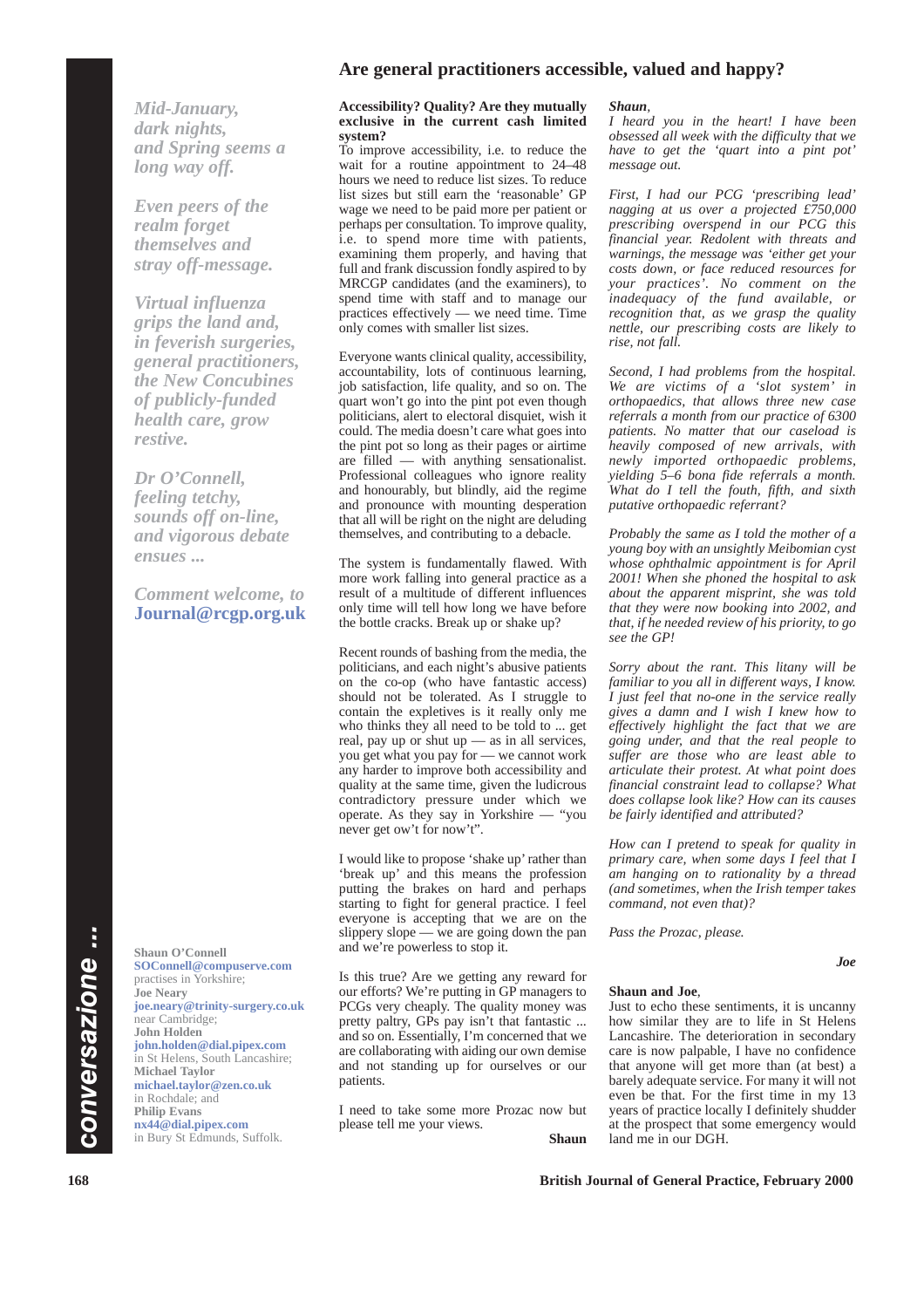## **Are general practitioners accessible, valued and happy?**

*Mid-January, dark nights, and Spring seems a long way off.* 

*Even peers of the realm forget themselves and stray off-message.* 

*Virtual influenza grips the land and, in feverish surgeries, general practitioners, the New Concubines of publicly-funded health care, grow restive.* 

*Dr O'Connell, feeling tetchy, sounds off on-line, and vigorous debate ensues ...*

*Comment welcome, to* **Journal@rcgp.org.uk**

**Shaun O'Connell SOConnell@compuserve.com** practises in Yorkshire; **Joe Neary joe.neary@trinity-surgery.co.uk** near Cambridge; **John Holden john.holden@dial.pipex.com** in St Helens, South Lancashire; **Michael Taylor michael.taylor@zen.co.uk** in Rochdale; and **Philip Evans nx44@dial.pipex.com** in Bury St Edmunds, Suffolk.

#### **Accessibility? Quality? Are they mutually exclusive in the current cash limited system?**

To improve accessibility, i.e. to reduce the wait for a routine appointment to 24–48 hours we need to reduce list sizes. To reduce list sizes but still earn the 'reasonable' GP wage we need to be paid more per patient or perhaps per consultation. To improve quality, i.e. to spend more time with patients, examining them properly, and having that full and frank discussion fondly aspired to by MRCGP candidates (and the examiners), to spend time with staff and to manage our practices effectively — we need time. Time only comes with smaller list sizes.

Everyone wants clinical quality, accessibility, accountability, lots of continuous learning, job satisfaction, life quality, and so on. The quart won't go into the pint pot even though politicians, alert to electoral disquiet, wish it could. The media doesn't care what goes into the pint pot so long as their pages or airtime are filled — with anything sensationalist. Professional colleagues who ignore reality and honourably, but blindly, aid the regime and pronounce with mounting desperation that all will be right on the night are deluding themselves, and contributing to a debacle.

The system is fundamentally flawed. With more work falling into general practice as a result of a multitude of different influences only time will tell how long we have before the bottle cracks. Break up or shake up?

Recent rounds of bashing from the media, the politicians, and each night's abusive patients on the co-op (who have fantastic access) should not be tolerated. As I struggle to contain the expletives is it really only me who thinks they all need to be told to ... get real, pay up or shut up — as in all services, you get what you pay for — we cannot work any harder to improve both accessibility and quality at the same time, given the ludicrous contradictory pressure under which we operate. As they say in Yorkshire — "you never get ow't for now't".

I would like to propose 'shake up' rather than 'break up' and this means the profession putting the brakes on hard and perhaps starting to fight for general practice. I feel everyone is accepting that we are on the slippery slope — we are going down the pan and we're powerless to stop it.

Is this true? Are we getting any reward for our efforts? We're putting in GP managers to PCGs very cheaply. The quality money was pretty paltry, GPs pay isn't that fantastic ... and so on. Essentially, I'm concerned that we are collaborating with aiding our own demise and not standing up for ourselves or our patients.

I need to take some more Prozac now but please tell me your views.

**Shaun**

#### *Shaun,*

*I heard you in the heart! I have been obsessed all week with the difficulty that we have to get the 'quart into a pint pot' message out.*

*First, I had our PCG 'prescribing lead' nagging at us over a projected £750,000 prescribing overspend in our PCG this financial year. Redolent with threats and warnings, the message was 'either get your costs down, or face reduced resources for your practices'. No comment on the inadequacy of the fund available, or recognition that, as we grasp the quality nettle, our prescribing costs are likely to rise, not fall.*

*Second, I had problems from the hospital. We are victims of a 'slot system' in orthopaedics, that allows three new case referrals a month from our practice of 6300 patients. No matter that our caseload is heavily composed of new arrivals, with newly imported orthopaedic problems, yielding 5–6 bona fide referrals a month. What do I tell the fouth, fifth, and sixth putative orthopaedic referrant?*

*Probably the same as I told the mother of a young boy with an unsightly Meibomian cyst whose ophthalmic appointment is for April 2001! When she phoned the hospital to ask about the apparent misprint, she was told that they were now booking into 2002, and that, if he needed review of his priority, to go see the GP!*

*Sorry about the rant. This litany will be familiar to you all in different ways, I know. I just feel that no-one in the service really gives a damn and I wish I knew how to effectively highlight the fact that we are going under, and that the real people to suffer are those who are least able to articulate their protest. At what point does financial constraint lead to collapse? What does collapse look like? How can its causes be fairly identified and attributed?*

*How can I pretend to speak for quality in primary care, when some days I feel that I am hanging on to rationality by a thread (and sometimes, when the Irish temper takes command, not even that)?*

*Pass the Prozac, please.*

# *Joe*

#### **Shaun and Joe**,

Just to echo these sentiments, it is uncanny how similar they are to life in St Helens Lancashire. The deterioration in secondary care is now palpable, I have no confidence that anyone will get more than (at best) a barely adequate service. For many it will not even be that. For the first time in my 13 years of practice locally I definitely shudder at the prospect that some emergency would land me in our DGH.

**168 British Journal of General Practice, February 2000**

*conversazione ...*

conversazione ...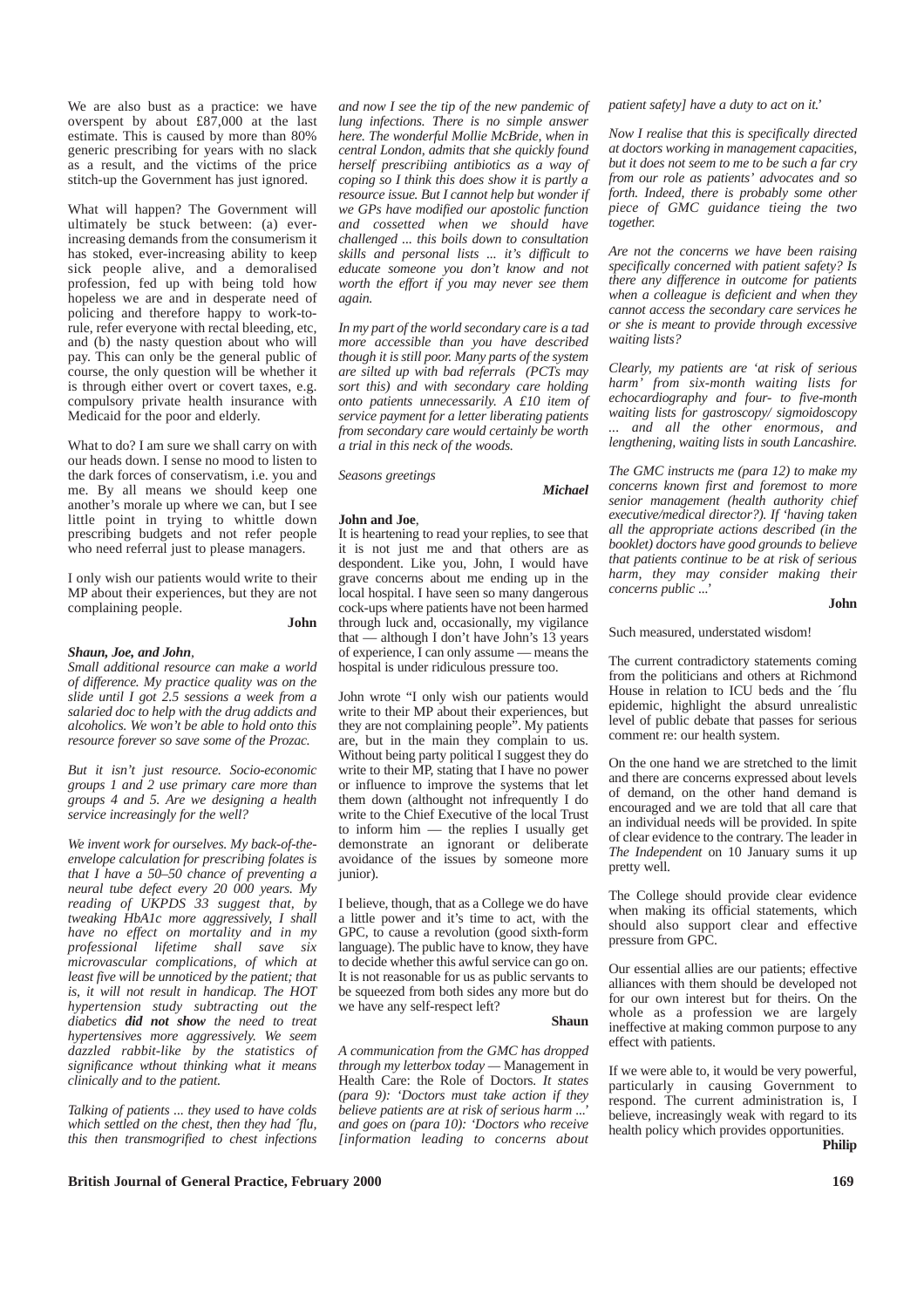We are also bust as a practice: we have overspent by about £87,000 at the last estimate. This is caused by more than 80% generic prescribing for years with no slack as a result, and the victims of the price stitch-up the Government has just ignored.

What will happen? The Government will ultimately be stuck between: (a) everincreasing demands from the consumerism it has stoked, ever-increasing ability to keep sick people alive, and a demoralised profession, fed up with being told how hopeless we are and in desperate need of policing and therefore happy to work-torule, refer everyone with rectal bleeding, etc, and (b) the nasty question about who will pay. This can only be the general public of course, the only question will be whether it is through either overt or covert taxes, e.g. compulsory private health insurance with Medicaid for the poor and elderly.

What to do? I am sure we shall carry on with our heads down. I sense no mood to listen to the dark forces of conservatism, i.e. you and me. By all means we should keep one another's morale up where we can, but I see little point in trying to whittle down prescribing budgets and not refer people who need referral just to please managers.

I only wish our patients would write to their MP about their experiences, but they are not complaining people.

**John** 

#### *Shaun, Joe, and John,*

*Small additional resource can make a world of difference. My practice quality was on the slide until I got 2.5 sessions a week from a salaried doc to help with the drug addicts and alcoholics. We won't be able to hold onto this resource forever so save some of the Prozac.*

*But it isn't just resource. Socio-economic groups 1 and 2 use primary care more than groups 4 and 5. Are we designing a health service increasingly for the well?*

*We invent work for ourselves. My back-of-theenvelope calculation for prescribing folates is that I have a 50–50 chance of preventing a neural tube defect every 20 000 years. My reading of UKPDS 33 suggest that, by tweaking HbA1c more aggressively, I shall have no effect on mortality and in my professional lifetime shall save six microvascular complications, of which at least five will be unnoticed by the patient; that is, it will not result in handicap. The HOT hypertension study subtracting out the diabetics did not show the need to treat hypertensives more aggressively. We seem dazzled rabbit-like by the statistics of significance wthout thinking what it means clinically and to the patient.*

*Talking of patients ... they used to have colds which settled on the chest, then they had ´flu, this then transmogrified to chest infections* *and now I see the tip of the new pandemic of lung infections. There is no simple answer here. The wonderful Mollie McBride, when in central London, admits that she quickly found herself prescribiing antibiotics as a way of coping so I think this does show it is partly a resource issue. But I cannot help but wonder if we GPs have modified our apostolic function and cossetted when we should have challenged ... this boils down to consultation skills and personal lists ... it's difficult to educate someone you don't know and not worth the effort if you may never see them again.*

*In my part of the world secondary care is a tad more accessible than you have described though it is still poor. Many parts of the system are silted up with bad referrals (PCTs may sort this) and with secondary care holding onto patients unnecessarily. A £10 item of service payment for a letter liberating patients from secondary care would certainly be worth a trial in this neck of the woods.*

*Seasons greetings*

**John and Joe**,

It is heartening to read your replies, to see that it is not just me and that others are as despondent. Like you, John, I would have grave concerns about me ending up in the local hospital. I have seen so many dangerous cock-ups where patients have not been harmed through luck and, occasionally, my vigilance that — although I don't have John's  $13$  years of experience, I can only assume — means the hospital is under ridiculous pressure too.

John wrote "I only wish our patients would write to their MP about their experiences, but they are not complaining people". My patients are, but in the main they complain to us. Without being party political I suggest they do write to their MP, stating that I have no power or influence to improve the systems that let them down (althought not infrequently I do write to the Chief Executive of the local Trust to inform him — the replies I usually get demonstrate an ignorant or deliberate avoidance of the issues by someone more junior).

I believe, though, that as a College we do have a little power and it's time to act, with the GPC, to cause a revolution (good sixth-form language). The public have to know, they have to decide whether this awful service can go on. It is not reasonable for us as public servants to be squeezed from both sides any more but do we have any self-respect left?

**Shaun**

*Michael*

*A communication from the GMC has dropped through my letterbox today —* Management in Health Care: the Role of Doctors*. It states (para 9): 'Doctors must take action if they believe patients are at risk of serious harm ...' and goes on (para 10): 'Doctors who receive [information leading to concerns about* *patient safety] have a duty to act on it.'*

*Now I realise that this is specifically directed at doctors working in management capacities, but it does not seem to me to be such a far cry from our role as patients' advocates and so forth. Indeed, there is probably some other piece of GMC guidance tieing the two together.*

*Are not the concerns we have been raising specifically concerned with patient safety? Is there any difference in outcome for patients when a colleague is deficient and when they cannot access the secondary care services he or she is meant to provide through excessive waiting lists?*

*Clearly, my patients are 'at risk of serious harm' from six-month waiting lists for echocardiography and four- to five-month waiting lists for gastroscopy/ sigmoidoscopy ... and all the other enormous, and lengthening, waiting lists in south Lancashire.*

*The GMC instructs me (para 12) to make my concerns known first and foremost to more senior management (health authority chief executive/medical director?). If 'having taken all the appropriate actions described (in the booklet) doctors have good grounds to believe that patients continue to be at risk of serious harm, they may consider making their concerns public ...'*

**John**

#### Such measured, understated wisdom!

The current contradictory statements coming from the politicians and others at Richmond House in relation to ICU beds and the ´flu epidemic, highlight the absurd unrealistic level of public debate that passes for serious comment re: our health system.

On the one hand we are stretched to the limit and there are concerns expressed about levels of demand, on the other hand demand is encouraged and we are told that all care that an individual needs will be provided. In spite of clear evidence to the contrary. The leader in *The Independent* on 10 January sums it up pretty well.

The College should provide clear evidence when making its official statements, which should also support clear and effective pressure from GPC.

Our essential allies are our patients; effective alliances with them should be developed not for our own interest but for theirs. On the whole as a profession we are largely ineffective at making common purpose to any effect with patients.

If we were able to, it would be very powerful, particularly in causing Government to respond. The current administration is, I believe, increasingly weak with regard to its health policy which provides opportunities. **Philip**

**British Journal of General Practice, February 2000 169** 169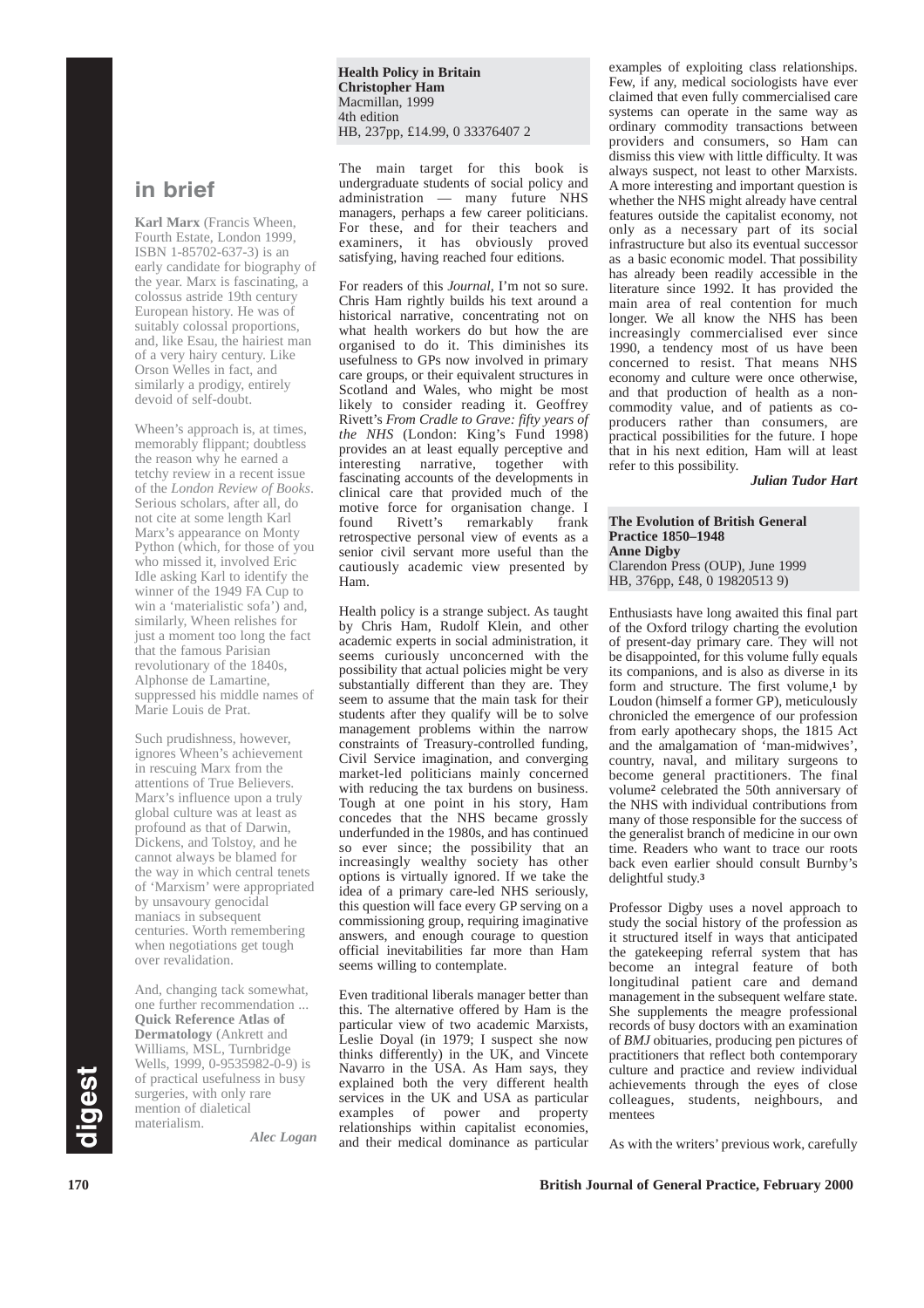**Health Policy in Britain Christopher Ham**  Macmillan, 1999 4th edition HB, 237pp, £14.99, 0 33376407 2

**in brief**

**Karl Marx** (Francis Wheen, Fourth Estate, London 1999, ISBN 1-85702-637-3) is an early candidate for biography of the year. Marx is fascinating, a colossus astride 19th century European history. He was of suitably colossal proportions, and, like Esau, the hairiest man of a very hairy century. Like Orson Welles in fact, and similarly a prodigy, entirely devoid of self-doubt.

Wheen's approach is, at times, memorably flippant; doubtless the reason why he earned a tetchy review in a recent issue of the *London Review of Books*. Serious scholars, after all, do not cite at some length Karl Marx's appearance on Monty Python (which, for those of you who missed it, involved Eric Idle asking Karl to identify the winner of the 1949 FA Cup to win a 'materialistic sofa') and, similarly, Wheen relishes for just a moment too long the fact that the famous Parisian revolutionary of the 1840s, Alphonse de Lamartine, suppressed his middle names of Marie Louis de Prat.

Such prudishness, however, ignores Wheen's achievement in rescuing Marx from the attentions of True Believers. Marx's influence upon a truly global culture was at least as profound as that of Darwin, Dickens, and Tolstoy, and he cannot always be blamed for the way in which central tenets of 'Marxism' were appropriated by unsavoury genocidal maniacs in subsequent centuries. Worth remembering when negotiations get tough over revalidation.

And, changing tack somewhat, one further recommendation ... **Quick Reference Atlas of Dermatology** (Ankrett and Williams, MSL, Turnbridge Wells, 1999, 0-9535982-0-9) is of practical usefulness in busy surgeries, with only rare mention of dialetical materialism.

*Alec Logan*

The main target for this book is undergraduate students of social policy and administration — many future NHS managers, perhaps a few career politicians. For these, and for their teachers and examiners, it has obviously proved satisfying, having reached four editions.

For readers of this *Journal*, I'm not so sure. Chris Ham rightly builds his text around a historical narrative, concentrating not on what health workers do but how the are organised to do it. This diminishes its usefulness to GPs now involved in primary care groups, or their equivalent structures in Scotland and Wales, who might be most likely to consider reading it. Geoffrey Rivett's *From Cradle to Grave: fifty years of the NHS* (London: King's Fund 1998) provides an at least equally perceptive and<br>interesting partative together with interesting narrative, together fascinating accounts of the developments in clinical care that provided much of the motive force for organisation change. I<br>found Rivett's remarkably frank remarkably frank retrospective personal view of events as a senior civil servant more useful than the cautiously academic view presented by Ham.

Health policy is a strange subject. As taught by Chris Ham, Rudolf Klein, and other academic experts in social administration, it seems curiously unconcerned with the possibility that actual policies might be very substantially different than they are. They seem to assume that the main task for their students after they qualify will be to solve management problems within the narrow constraints of Treasury-controlled funding, Civil Service imagination, and converging market-led politicians mainly concerned with reducing the tax burdens on business. Tough at one point in his story, Ham concedes that the NHS became grossly underfunded in the 1980s, and has continued so ever since; the possibility that an increasingly wealthy society has other options is virtually ignored. If we take the idea of a primary care-led NHS seriously, this question will face every GP serving on a commissioning group, requiring imaginative answers, and enough courage to question official inevitabilities far more than Ham seems willing to contemplate.

Even traditional liberals manager better than this. The alternative offered by Ham is the particular view of two academic Marxists, Leslie Doyal (in 1979; I suspect she now thinks differently) in the UK, and Vincete Navarro in the USA. As Ham says, they explained both the very different health services in the UK and USA as particular examples of power and property relationships within capitalist economies, and their medical dominance as particular

examples of exploiting class relationships. Few, if any, medical sociologists have ever claimed that even fully commercialised care systems can operate in the same way as ordinary commodity transactions between providers and consumers, so Ham can dismiss this view with little difficulty. It was always suspect, not least to other Marxists. A more interesting and important question is whether the NHS might already have central features outside the capitalist economy, not only as a necessary part of its social infrastructure but also its eventual successor as a basic economic model. That possibility has already been readily accessible in the literature since 1992. It has provided the main area of real contention for much longer. We all know the NHS has been increasingly commercialised ever since 1990, a tendency most of us have been concerned to resist. That means NHS economy and culture were once otherwise, and that production of health as a noncommodity value, and of patients as coproducers rather than consumers, are practical possibilities for the future. I hope that in his next edition, Ham will at least refer to this possibility.

*Julian Tudor Hart*

**The Evolution of British General Practice 1850–1948 Anne Digby** Clarendon Press (OUP), June 1999 HB, 376pp, £48, 0 19820513 9)

Enthusiasts have long awaited this final part of the Oxford trilogy charting the evolution of present-day primary care. They will not be disappointed, for this volume fully equals its companions, and is also as diverse in its form and structure. The first volume,**<sup>1</sup>** by Loudon (himself a former GP), meticulously chronicled the emergence of our profession from early apothecary shops, the 1815 Act and the amalgamation of 'man-midwives', country, naval, and military surgeons to become general practitioners. The final volume**<sup>2</sup>** celebrated the 50th anniversary of the NHS with individual contributions from many of those responsible for the success of the generalist branch of medicine in our own time. Readers who want to trace our roots back even earlier should consult Burnby's delightful study.**<sup>3</sup>**

Professor Digby uses a novel approach to study the social history of the profession as it structured itself in ways that anticipated the gatekeeping referral system that has become an integral feature of both longitudinal patient care and demand management in the subsequent welfare state. She supplements the meagre professional records of busy doctors with an examination of *BMJ* obituaries, producing pen pictures of practitioners that reflect both contemporary culture and practice and review individual achievements through the eyes of close colleagues, students, neighbours, and mentees

As with the writers' previous work, carefully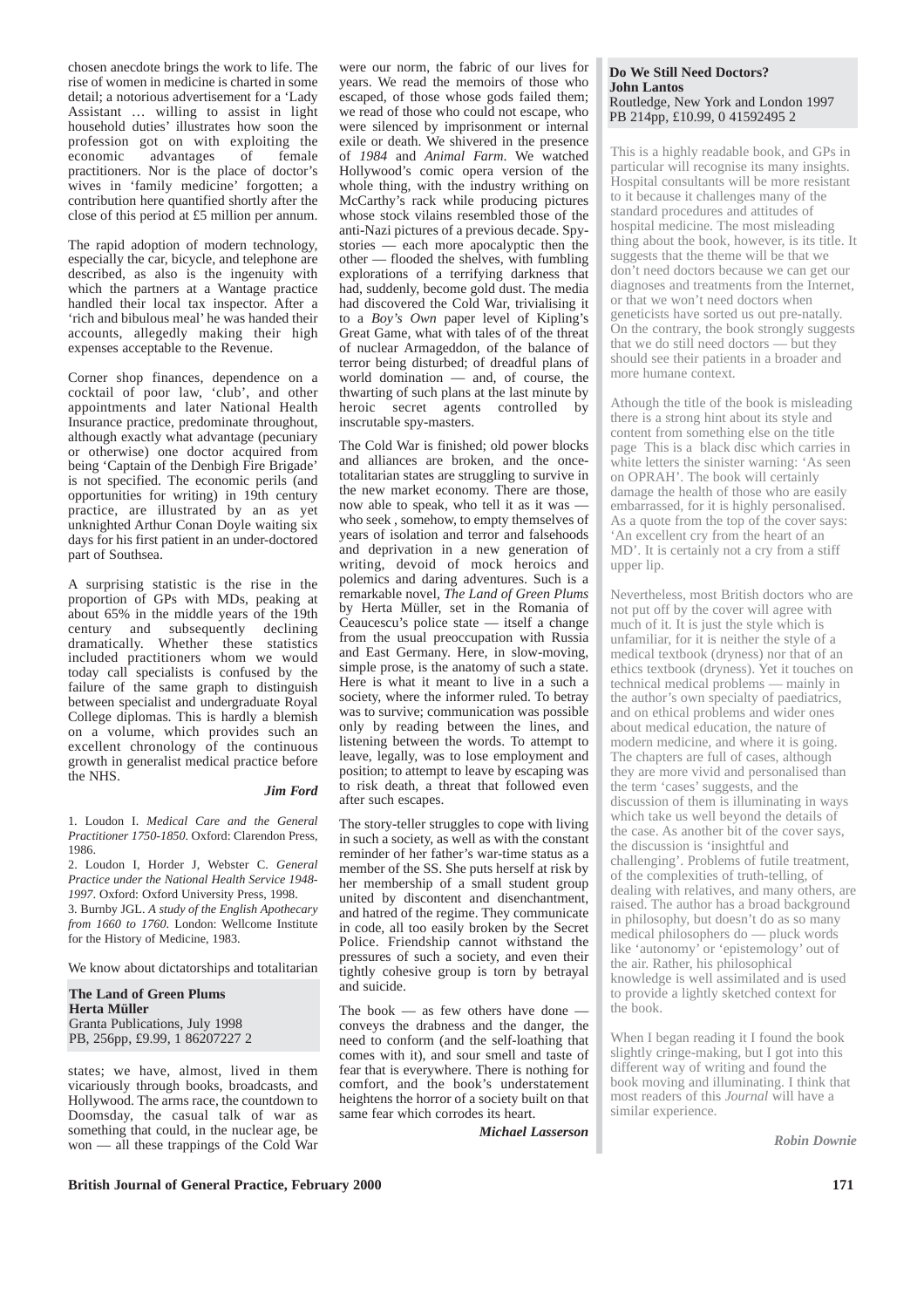chosen anecdote brings the work to life. The rise of women in medicine is charted in some detail; a notorious advertisement for a 'Lady Assistant … willing to assist in light household duties' illustrates how soon the profession got on with exploiting the<br>economic advantages of female of female practitioners. Nor is the place of doctor's wives in 'family medicine' forgotten; a contribution here quantified shortly after the close of this period at £5 million per annum.

The rapid adoption of modern technology, especially the car, bicycle, and telephone are described, as also is the ingenuity with which the partners at a Wantage practice handled their local tax inspector. After a 'rich and bibulous meal' he was handed their accounts, allegedly making their high expenses acceptable to the Revenue.

Corner shop finances, dependence on a cocktail of poor law, 'club', and other appointments and later National Health Insurance practice, predominate throughout, although exactly what advantage (pecuniary or otherwise) one doctor acquired from being 'Captain of the Denbigh Fire Brigade' is not specified. The economic perils (and opportunities for writing) in 19th century practice, are illustrated by an as yet unknighted Arthur Conan Doyle waiting six days for his first patient in an under-doctored part of Southsea.

A surprising statistic is the rise in the proportion of GPs with MDs, peaking at about 65% in the middle years of the 19th century and subsequently declining dramatically. Whether these statistics included practitioners whom we would today call specialists is confused by the failure of the same graph to distinguish between specialist and undergraduate Royal College diplomas. This is hardly a blemish on a volume, which provides such an excellent chronology of the continuous growth in generalist medical practice before the NHS.

#### *Jim Ford*

1. Loudon I. *Medical Care and the General Practitioner 1750-1850*. Oxford: Clarendon Press, 1986.

2. Loudon I, Horder J, Webster C. *General Practice under the National Health Service 1948- 1997*. Oxford: Oxford University Press, 1998. 3. Burnby JGL. *A study of the English Apothecary from 1660 to 1760*. London: Wellcome Institute for the History of Medicine, 1983.

We know about dictatorships and totalitarian

**The Land of Green Plums Herta Müller** Granta Publications, July 1998 PB, 256pp, £9.99, 1 86207227 2

states; we have, almost, lived in them vicariously through books, broadcasts, and Hollywood. The arms race, the countdown to Doomsday, the casual talk of war as something that could, in the nuclear age, be won — all these trappings of the Cold War

were our norm, the fabric of our lives for years. We read the memoirs of those who escaped, of those whose gods failed them; we read of those who could not escape, who were silenced by imprisonment or internal exile or death. We shivered in the presence of *1984* and *Animal Farm*. We watched Hollywood's comic opera version of the whole thing, with the industry writhing on McCarthy's rack while producing pictures whose stock vilains resembled those of the anti-Nazi pictures of a previous decade. Spystories — each more apocalyptic then the other — flooded the shelves, with fumbling explorations of a terrifying darkness that had, suddenly, become gold dust. The media had discovered the Cold War, trivialising it to a *Boy's Own* paper level of Kipling's Great Game, what with tales of of the threat of nuclear Armageddon, of the balance of terror being disturbed; of dreadful plans of world domination — and, of course, the thwarting of such plans at the last minute by heroic secret agents controlled by inscrutable spy-masters.

The Cold War is finished; old power blocks and alliances are broken, and the oncetotalitarian states are struggling to survive in the new market economy. There are those, now able to speak, who tell it as it was who seek , somehow, to empty themselves of years of isolation and terror and falsehoods and deprivation in a new generation of writing, devoid of mock heroics and polemics and daring adventures. Such is a remarkable novel, *The Land of Green Plums* by Herta Müller, set in the Romania of Ceaucescu's police state — itself a change from the usual preoccupation with Russia and East Germany. Here, in slow-moving, simple prose, is the anatomy of such a state. Here is what it meant to live in a such a society, where the informer ruled. To betray was to survive; communication was possible only by reading between the lines, and listening between the words. To attempt to leave, legally, was to lose employment and position; to attempt to leave by escaping was to risk death, a threat that followed even after such escapes.

The story-teller struggles to cope with living in such a society, as well as with the constant reminder of her father's war-time status as a member of the SS. She puts herself at risk by her membership of a small student group united by discontent and disenchantment, and hatred of the regime. They communicate in code, all too easily broken by the Secret Police. Friendship cannot withstand the pressures of such a society, and even their tightly cohesive group is torn by betrayal and suicide.

The book  $-$  as few others have done conveys the drabness and the danger, the need to conform (and the self-loathing that comes with it), and sour smell and taste of fear that is everywhere. There is nothing for comfort, and the book's understatement heightens the horror of a society built on that same fear which corrodes its heart.

*Michael Lasserson*

#### **Do We Still Need Doctors? John Lantos** Routledge, New York and London 1997 PB 214pp, £10.99, 0 41592495 2

This is a highly readable book, and GPs in particular will recognise its many insights. Hospital consultants will be more resistant to it because it challenges many of the standard procedures and attitudes of hospital medicine. The most misleading thing about the book, however, is its title. It suggests that the theme will be that we don't need doctors because we can get our diagnoses and treatments from the Internet, or that we won't need doctors when geneticists have sorted us out pre-natally. On the contrary, the book strongly suggests that we do still need doctors — but they should see their patients in a broader and more humane context.

Athough the title of the book is misleading there is a strong hint about its style and content from something else on the title page This is a black disc which carries in white letters the sinister warning: 'As seen on OPRAH'. The book will certainly damage the health of those who are easily embarrassed, for it is highly personalised. As a quote from the top of the cover says: 'An excellent cry from the heart of an MD'. It is certainly not a cry from a stiff upper lip.

Nevertheless, most British doctors who are not put off by the cover will agree with much of it. It is just the style which is unfamiliar, for it is neither the style of a medical textbook (dryness) nor that of an ethics textbook (dryness). Yet it touches on technical medical problems — mainly in the author's own specialty of paediatrics, and on ethical problems and wider ones about medical education, the nature of modern medicine, and where it is going. The chapters are full of cases, although they are more vivid and personalised than the term 'cases' suggests, and the discussion of them is illuminating in ways which take us well beyond the details of the case. As another bit of the cover says, the discussion is 'insightful and challenging'. Problems of futile treatment, of the complexities of truth-telling, of dealing with relatives, and many others, are raised. The author has a broad background in philosophy, but doesn't do as so many medical philosophers do — pluck words like 'autonomy' or 'epistemology' out of the air. Rather, his philosophical knowledge is well assimilated and is used to provide a lightly sketched context for the book.

When I began reading it I found the book slightly cringe-making, but I got into this different way of writing and found the book moving and illuminating. I think that most readers of this *Journal* will have a similar experience.

*Robin Downie*

**British Journal of General Practice, February 2000 171**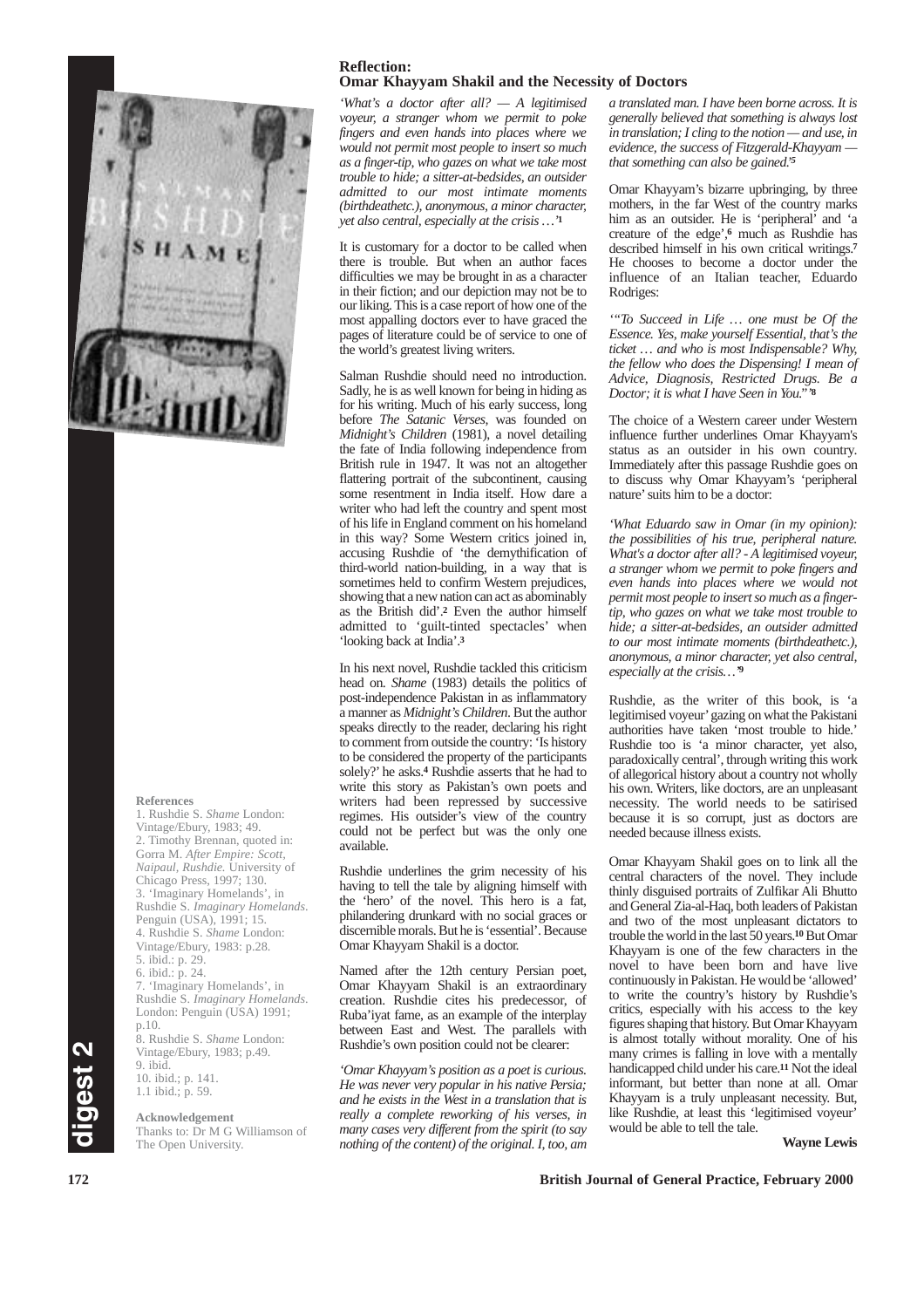

#### **References**

1. Rushdie S. *Shame* London: Vintage/Ebury, 1983; 49. 2. Timothy Brennan, quoted in: Gorra M. *After Empire: Scott, Naipaul, Rushdie.* University of Chicago Press, 1997; 130. 3. 'Imaginary Homelands', in Rushdie S. *Imaginary Homelands*. Penguin (USA), 1991; 15. 4. Rushdie S. *Shame* London: Vintage/Ebury, 1983: p.28. 5. ibid.: p. 29. 6. ibid.: p. 24. 'Imaginary Homelands', in Rushdie S. *Imaginary Homelands*. London: Penguin (USA) 1991; p.10. 8. Rushdie S. *Shame* London: Vintage/Ebury, 1983; p.49. 9. ibid. 10. ibid.; p. 141. 1.1 ibid.; p. 59.

**Acknowledgement** Thanks to: Dr M G Williamson of The Open University.

#### **Reflection: Omar Khayyam Shakil and the Necessity of Doctors**

*'What's a doctor after all? — A legitimised voyeur, a stranger whom we permit to poke fingers and even hands into places where we would not permit most people to insert so much as a finger-tip, who gazes on what we take most trouble to hide; a sitter-at-bedsides, an outsider admitted to our most intimate moments (birthdeathetc.), anonymous, a minor character, yet also central, especially at the crisis …'***<sup>1</sup>**

It is customary for a doctor to be called when there is trouble. But when an author faces difficulties we may be brought in as a character in their fiction; and our depiction may not be to our liking. This is a case report of how one of the most appalling doctors ever to have graced the pages of literature could be of service to one of the world's greatest living writers.

Salman Rushdie should need no introduction. Sadly, he is as well known for being in hiding as for his writing. Much of his early success, long before *The Satanic Verses*, was founded on *Midnight's Children* (1981), a novel detailing the fate of India following independence from British rule in 1947. It was not an altogether flattering portrait of the subcontinent, causing some resentment in India itself. How dare a writer who had left the country and spent most of his life in England comment on his homeland in this way? Some Western critics joined in, accusing Rushdie of 'the demythification of third-world nation-building, in a way that is sometimes held to confirm Western prejudices, showing that a new nation can act as abominably as the British did'.**<sup>2</sup>** Even the author himself admitted to 'guilt-tinted spectacles' when 'looking back at India'.**<sup>3</sup>**

In his next novel, Rushdie tackled this criticism head on. *Shame* (1983) details the politics of post-independence Pakistan in as inflammatory a manner as *Midnight's Children*. But the author speaks directly to the reader, declaring his right to comment from outside the country: 'Is history to be considered the property of the participants solely?' he asks.**<sup>4</sup>** Rushdie asserts that he had to write this story as Pakistan's own poets and writers had been repressed by successive regimes. His outsider's view of the country could not be perfect but was the only one available.

Rushdie underlines the grim necessity of his having to tell the tale by aligning himself with the 'hero' of the novel. This hero is a fat, philandering drunkard with no social graces or discernible morals. But he is 'essential'. Because Omar Khayyam Shakil is a doctor.

Named after the 12th century Persian poet, Omar Khayyam Shakil is an extraordinary creation. Rushdie cites his predecessor, of Ruba'iyat fame, as an example of the interplay between East and West. The parallels with Rushdie's own position could not be clearer:

*'Omar Khayyam's position as a poet is curious. He was never very popular in his native Persia; and he exists in the West in a translation that is really a complete reworking of his verses, in many cases very different from the spirit (to say nothing of the content) of the original. I, too, am* *a translated man. I have been borne across. It is generally believed that something is always lost in translation; I cling to the notion — and use, in evidence, the success of Fitzgerald-Khayyam that something can also be gained.'<sup>5</sup>*

Omar Khayyam's bizarre upbringing, by three mothers, in the far West of the country marks him as an outsider. He is 'peripheral' and 'a creature of the edge',**<sup>6</sup>** much as Rushdie has described himself in his own critical writings.**<sup>7</sup>** He chooses to become a doctor under the influence of an Italian teacher, Eduardo Rodriges:

*'"To Succeed in Life … one must be Of the Essence. Yes, make yourself Essential, that's the ticket … and who is most Indispensable? Why, the fellow who does the Dispensing! I mean of Advice, Diagnosis, Restricted Drugs. Be a Doctor; it is what I have Seen in You."'***<sup>8</sup>**

The choice of a Western career under Western influence further underlines Omar Khayyam's status as an outsider in his own country. Immediately after this passage Rushdie goes on to discuss why Omar Khayyam's 'peripheral nature' suits him to be a doctor:

*'What Eduardo saw in Omar (in my opinion): the possibilities of his true, peripheral nature. What's a doctor after all? - A legitimised voyeur, a stranger whom we permit to poke fingers and even hands into places where we would not permit most people to insert so much as a fingertip, who gazes on what we take most trouble to hide; a sitter-at-bedsides, an outsider admitted to our most intimate moments (birthdeathetc.), anonymous, a minor character, yet also central, especially at the crisis…'***<sup>9</sup>**

Rushdie, as the writer of this book, is 'a legitimised voyeur'gazing on what the Pakistani authorities have taken 'most trouble to hide.' Rushdie too is 'a minor character, yet also, paradoxically central', through writing this work of allegorical history about a country not wholly his own. Writers, like doctors, are an unpleasant necessity. The world needs to be satirised because it is so corrupt, just as doctors are needed because illness exists.

Vintage/Ebury, 1983; p.49.<br>
<sup>9.</sup> ibid.<br>
<sup>9.</sup> ibid.; p. 141.<br>
<sup>9.</sup> ibid.; p. 141.<br>
<sup>9.</sup> ibid.; p. 141.<br>
<sup>9.</sup> ibid.; p. 141.<br>
<sup>9.</sup> ibid.; p. 141.<br> **172** British Journal of General Practice, February 2000<br> **172** British Journ Omar Khayyam Shakil goes on to link all the central characters of the novel. They include thinly disguised portraits of Zulfikar Ali Bhutto and General Zia-al-Haq, both leaders of Pakistan and two of the most unpleasant dictators to trouble the world in the last 50 years.**10**But Omar Khayyam is one of the few characters in the novel to have been born and have live continuously in Pakistan. He would be 'allowed' to write the country's history by Rushdie's critics, especially with his access to the key figures shaping that history. But Omar Khayyam is almost totally without morality. One of his many crimes is falling in love with a mentally handicapped child under his care.**<sup>11</sup>** Not the ideal informant, but better than none at all. Omar Khayyam is a truly unpleasant necessity. But, like Rushdie, at least this 'legitimised voyeur' would be able to tell the tale.

**Wayne Lewis**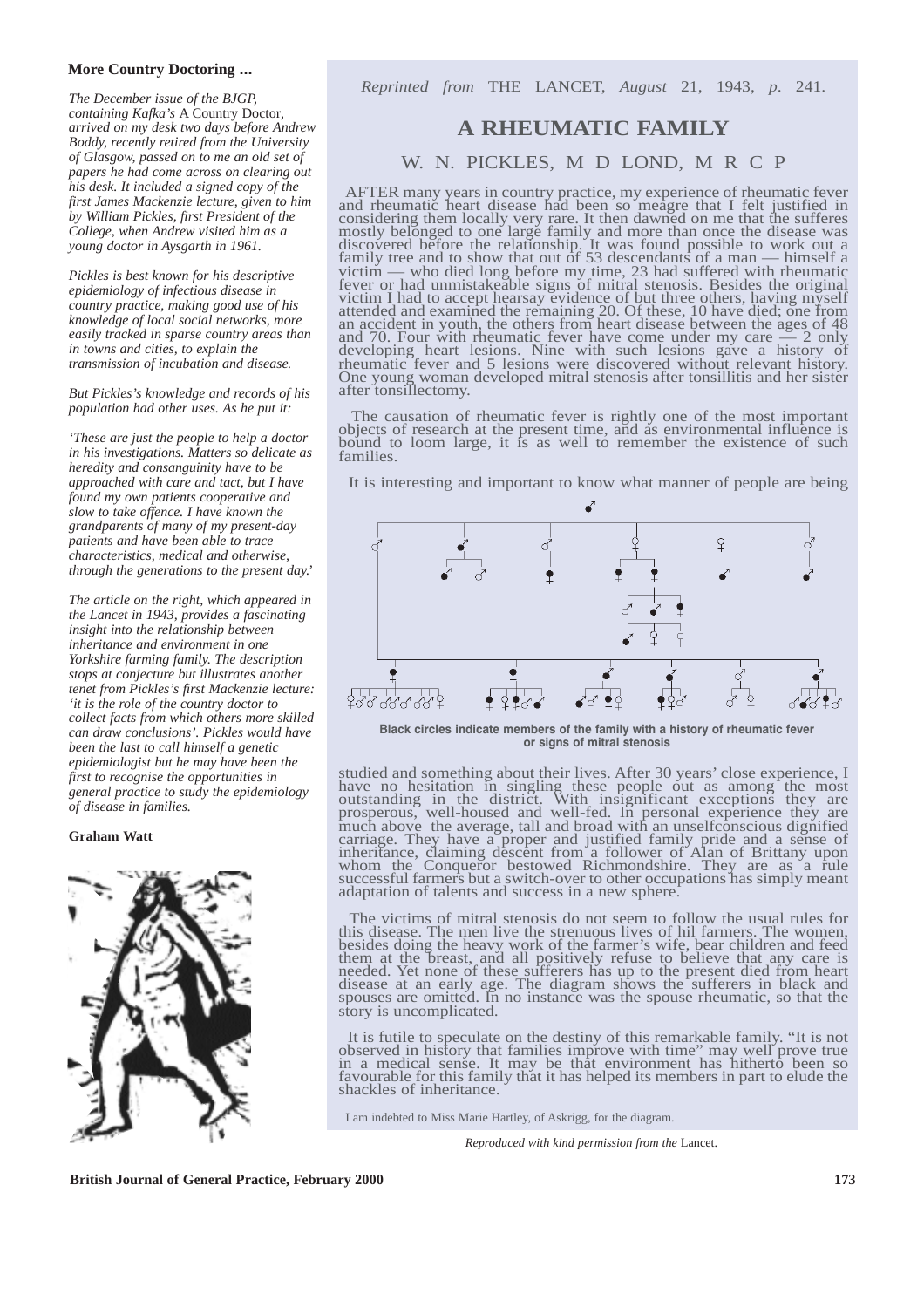#### **More Country Doctoring ...**

*The December issue of the BJGP, containing Kafka's* A Country Doctor*, arrived on my desk two days before Andrew Boddy, recently retired from the University of Glasgow, passed on to me an old set of papers he had come across on clearing out his desk. It included a signed copy of the first James Mackenzie lecture, given to him by William Pickles, first President of the College, when Andrew visited him as a young doctor in Aysgarth in 1961.*

*Pickles is best known for his descriptive epidemiology of infectious disease in country practice, making good use of his knowledge of local social networks, more easily tracked in sparse country areas than in towns and cities, to explain the transmission of incubation and disease.*

*But Pickles's knowledge and records of his population had other uses. As he put it:*

*'These are just the people to help a doctor in his investigations. Matters so delicate as heredity and consanguinity have to be approached with care and tact, but I have found my own patients cooperative and slow to take offence. I have known the grandparents of many of my present-day patients and have been able to trace characteristics, medical and otherwise, through the generations to the present day.'*

*The article on the right, which appeared in the Lancet in 1943, provides a fascinating insight into the relationship between inheritance and environment in one Yorkshire farming family. The description stops at conjecture but illustrates another tenet from Pickles's first Mackenzie lecture: 'it is the role of the country doctor to collect facts from which others more skilled can draw conclusions'. Pickles would have been the last to call himself a genetic epidemiologist but he may have been the first to recognise the opportunities in general practice to study the epidemiology of disease in families.*

#### **Graham Watt**



*Reprinted from* THE LANCET, *August* 21, 1943, *p*. 241.

# **A RHEUMATIC FAMILY**

## W. N. PICKLES, M D LOND, M R C P

AFTER many years in country practice, my experience of rheumatic fever and rheumatic heart disease had been so meagre that I felt justified in considering them locally very rare. It then dawned on me that the sufferes mostly belonged to one large family and more than once the disease was discovered before the relationship. It was found possible to work out a family tree and to show that out of 53 descendants of a man — himself a victim — who died long before my time, 23 had suffered with rheumatic fever or had unmistakeable signs of mitral stenosis. Besides the original victim I had to accept hearsay evidence of but three others, having myself attended and examined the remaining 20. Of these, 10 have died; one from an accident in youth, the others from heart disease between the ages of 48 and 70. Four with rheumatic fever have come under my care — 2 only developing heart lesions. Nine with such lesions gave a history of rheumatic fever and 5 lesions were discovered without relevant history. One young woman developed mitral stenosis after tonsillitis and her sister after tonsillectomy.

The causation of rheumatic fever is rightly one of the most important objects of research at the present time, and as environmental influence is bound to loom large, it is as well to remember the existence of such families.

It is interesting and important to know what manner of people are being



**Black circles indicate members of the family with a history of rheumatic fever or signs of mitral stenosis**

studied and something about their lives. After 30 years' close experience, I have no hesitation in singling these people out as among the most outstanding in the district. With insignificant exceptions they are prosperous, well-housed and well-fed. In personal experience they are much above the average, tall and broad with an unselfconscious dignified carriage. They have a proper and justified family pride and a sense of inheritance, claiming descent from a follower of Alan of Brittany upon whom the Conqueror bestowed Richmondshire. They are as a rule successful farmers but a switch-over to other occupations has simply meant adaptation of talents and success in a new sphere.

The victims of mitral stenosis do not seem to follow the usual rules for this disease. The men live the strenuous lives of hil farmers. The women, besides doing the heavy work of the farmer's wife, bear children and feed them at the breast, and all positively refuse to believe that any care is needed. Yet none of these sufferers has up to the present died from heart disease at an early age. The diagram shows the sufferers in black and spouses are omitted. In no instance was the spouse rheumatic, so that the story is uncomplicated.

It is futile to speculate on the destiny of this remarkable family. "It is not observed in history that families improve with time" may well prove true in a medical sense. It may be that environment has hitherto been so favourable for this family that it has helped its members in part to elude the shackles of inheritance.

I am indebted to Miss Marie Hartley, of Askrigg, for the diagram.

*Reproduced with kind permission from the* Lancet.

**British Journal of General Practice, February 2000 173 173**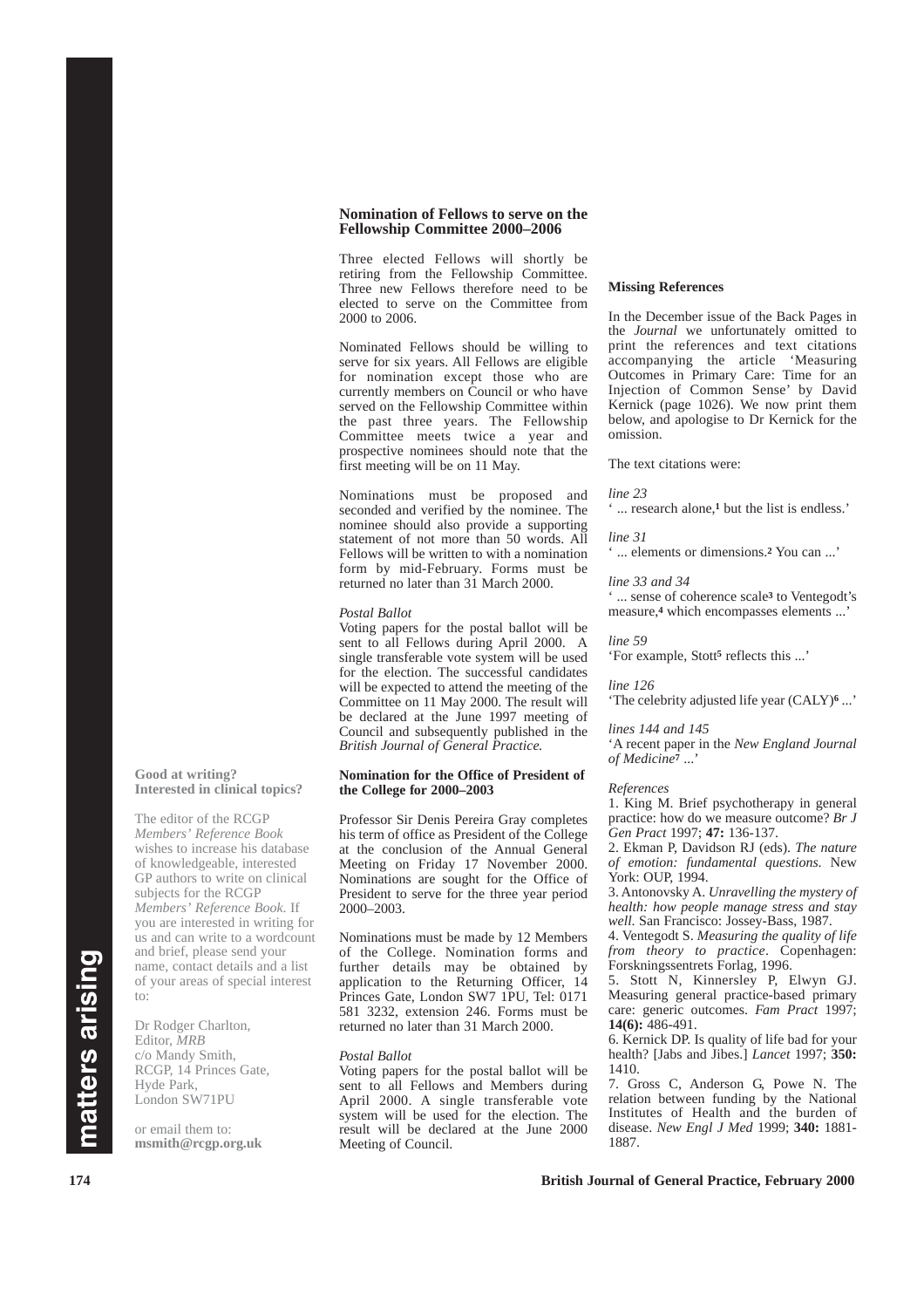#### **Nomination of Fellows to serve on the Fellowship Committee 2000–2006**

Three elected Fellows will shortly be retiring from the Fellowship Committee. Three new Fellows therefore need to be elected to serve on the Committee from 2000 to 2006.

Nominated Fellows should be willing to serve for six years. All Fellows are eligible for nomination except those who are currently members on Council or who have served on the Fellowship Committee within the past three years. The Fellowship Committee meets twice a year and prospective nominees should note that the first meeting will be on 11 May.

Nominations must be proposed and seconded and verified by the nominee. The nominee should also provide a supporting statement of not more than 50 words. All Fellows will be written to with a nomination form by mid-February. Forms must be returned no later than 31 March 2000.

#### *Postal Ballot*

Voting papers for the postal ballot will be sent to all Fellows during April 2000. A single transferable vote system will be used for the election. The successful candidates will be expected to attend the meeting of the Committee on 11 May 2000. The result will be declared at the June 1997 meeting of Council and subsequently published in the *British Journal of General Practice.*

#### **Nomination for the Office of President of the College for 2000–2003**

Professor Sir Denis Pereira Gray completes his term of office as President of the College at the conclusion of the Annual General Meeting on Friday 17 November 2000. Nominations are sought for the Office of President to serve for the three year period 2000–2003.

Nominations must be made by 12 Members of the College. Nomination forms and further details may be obtained by application to the Returning Officer, 14 Princes Gate, London SW7 1PU, Tel: 0171 581 3232, extension 246. Forms must be returned no later than 31 March 2000.

#### *Postal Ballot*

Voting papers for the postal ballot will be sent to all Fellows and Members during April 2000. A single transferable vote system will be used for the election. The result will be declared at the June 2000 Meeting of Council.

#### **Missing References**

In the December issue of the Back Pages in the *Journal* we unfortunately omitted to print the references and text citations accompanying the article 'Measuring Outcomes in Primary Care: Time for an Injection of Common Sense' by David Kernick (page 1026). We now print them below, and apologise to Dr Kernick for the omission.

The text citations were:

*line 23*

... research alone,<sup>1</sup> but the list is endless.'

#### *line 31*

' ... elements or dimensions.**<sup>2</sup>** You can ...'

#### *line 33 and 34*

' ... sense of coherence scale**<sup>3</sup>** to Ventegodt's measure,**<sup>4</sup>** which encompasses elements ...'

*line 59* 'For example, Stott**<sup>5</sup>** reflects this ...'

*line 126*

'The celebrity adjusted life year (CALY)**<sup>6</sup>** ...'

#### *lines 144 and 145*

'A recent paper in the *New England Journal of Medicine***<sup>7</sup>** ...'

#### *References*

1. King M. Brief psychotherapy in general practice: how do we measure outcome? *Br J Gen Pract* 1997; **47:** 136-137.

2. Ekman P, Davidson RJ (eds). *The nature of emotion: fundamental questions*. New York: OUP, 1994.

3. Antonovsky A. *Unravelling the mystery of health: how people manage stress and stay well*. San Francisco: Jossey-Bass, 1987.

4. Ventegodt S. *Measuring the quality of life from theory to practice*. Copenhagen: Forskningssentrets Forlag, 1996.

5. Stott N, Kinnersley P, Elwyn GJ. Measuring general practice-based primary care: generic outcomes. *Fam Pract* 1997; **14(6):** 486-491.

6. Kernick DP. Is quality of life bad for your health? [Jabs and Jibes.] *Lancet* 1997; **350:** 1410.

7. Gross C, Anderson G, Powe N. The relation between funding by the National Institutes of Health and the burden of disease. *New Engl J Med* 1999; **340:** 1881- 1887.

#### **174 British Journal of General Practice, February 2000**

# matters arising **matters arising**

to:

**Good at writing?** 

**Interested in clinical topics?**

The editor of the RCGP *Members' Reference Book* wishes to increase his database of knowledgeable, interested GP authors to write on clinical subjects for the RCGP *Members' Reference Book*. If you are interested in writing for us and can write to a wordcount and brief, please send your name, contact details and a list of your areas of special interest

Dr Rodger Charlton, Editor, *MRB* c/o Mandy Smith, RCGP, 14 Princes Gate,

Hyde Park, London SW71PU or email them to: **msmith@rcgp.org.uk**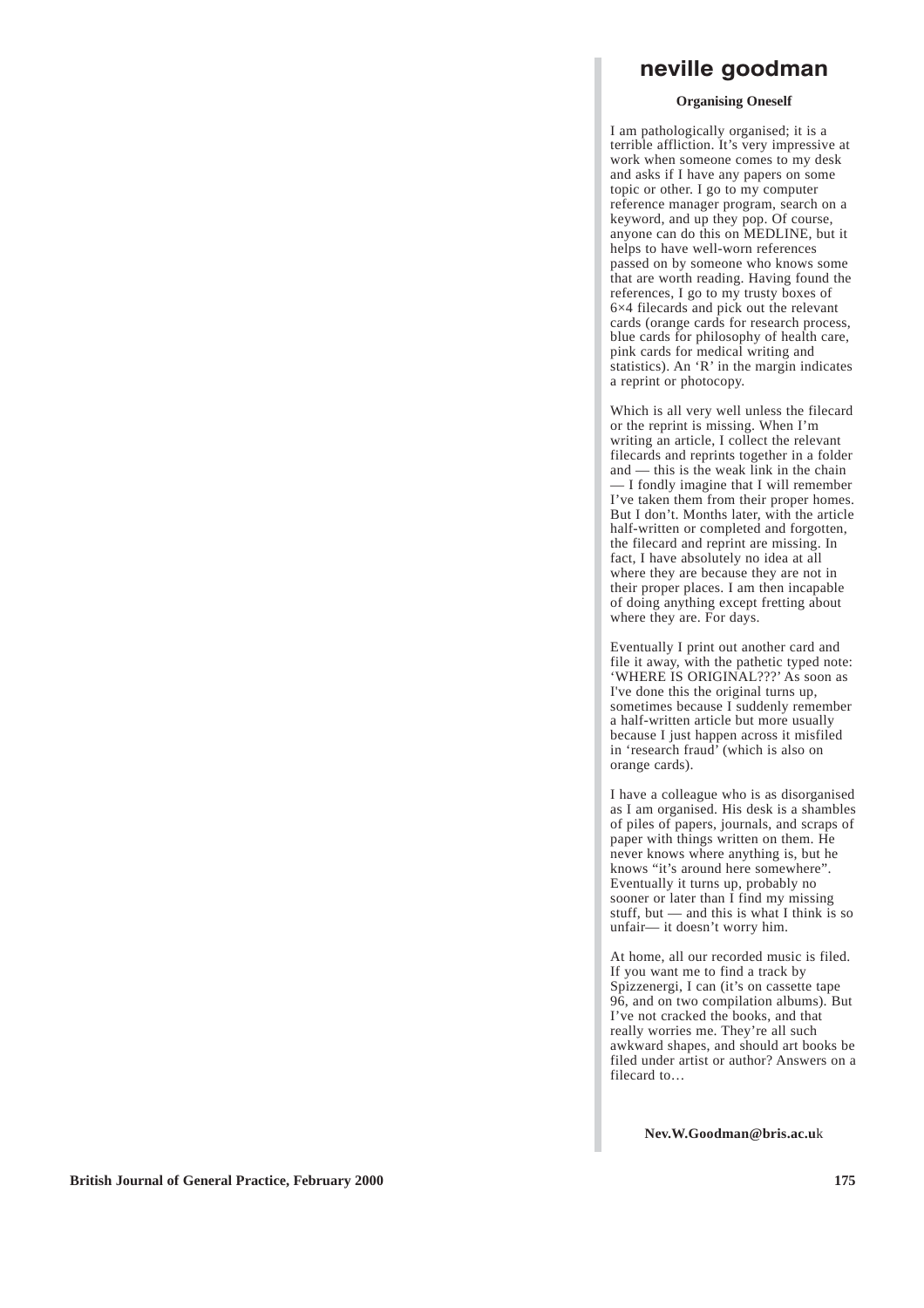# **neville goodman**

#### **Organising Oneself**

I am pathologically organised; it is a terrible affliction. It's very impressive at work when someone comes to my desk and asks if I have any papers on some topic or other. I go to my computer reference manager program, search on a keyword, and up they pop. Of course, anyone can do this on MEDLINE, but it helps to have well-worn references passed on by someone who knows some that are worth reading. Having found the references, I go to my trusty boxes of 6×4 filecards and pick out the relevant cards (orange cards for research process, blue cards for philosophy of health care, pink cards for medical writing and statistics). An 'R' in the margin indicates a reprint or photocopy.

Which is all very well unless the filecard or the reprint is missing. When I'm writing an article, I collect the relevant filecards and reprints together in a folder and — this is the weak link in the chain — I fondly imagine that I will remember I've taken them from their proper homes. But I don't. Months later, with the article half-written or completed and forgotten, the filecard and reprint are missing. In fact, I have absolutely no idea at all where they are because they are not in their proper places. I am then incapable of doing anything except fretting about where they are. For days.

Eventually I print out another card and file it away, with the pathetic typed note: 'WHERE IS ORIGINAL???' As soon as I've done this the original turns up, sometimes because I suddenly remember a half-written article but more usually because I just happen across it misfiled in 'research fraud' (which is also on orange cards).

I have a colleague who is as disorganised as I am organised. His desk is a shambles of piles of papers, journals, and scraps of paper with things written on them. He never knows where anything is, but he knows "it's around here somewhere". Eventually it turns up, probably no sooner or later than I find my missing stuff, but — and this is what I think is so unfair— it doesn't worry him.

At home, all our recorded music is filed. If you want me to find a track by Spizzenergi, I can (it's on cassette tape 96, and on two compilation albums). But I've not cracked the books, and that really worries me. They're all such awkward shapes, and should art books be filed under artist or author? Answers on a filecard to…

**Nev.W.Goodman@bris.ac.u**k